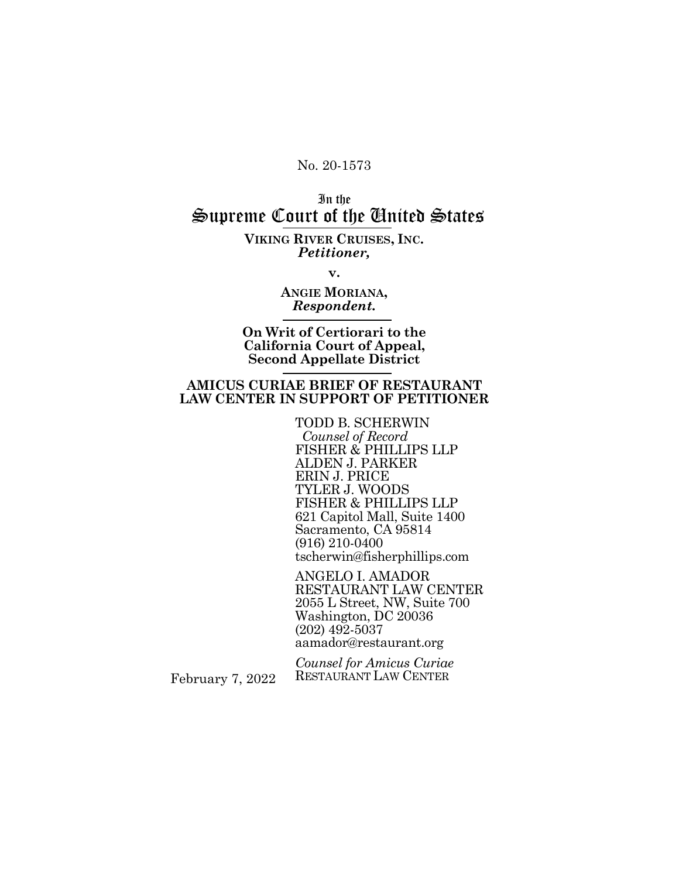No. 20-1573

## In the Supreme Court of the United States

**VIKING RIVER CRUISES, INC.**  *Petitioner,*

**v.**

**ANGIE MORIANA,**  *Respondent.*

**On Writ of Certiorari to the California Court of Appeal, Second Appellate District**

#### **AMICUS CURIAE BRIEF OF RESTAURANT LAW CENTER IN SUPPORT OF PETITIONER**

TODD B. SCHERWIN  *Counsel of Record*  FISHER & PHILLIPS LLP ALDEN J. PARKER ERIN J. PRICE TYLER J. WOODS FISHER & PHILLIPS LLP 621 Capitol Mall, Suite 1400 Sacramento, CA 95814 (916) 210-0400 tscherwin@fisherphillips.com

ANGELO I. AMADOR RESTAURANT LAW CENTER 2055 L Street, NW, Suite 700 Washington, DC 20036 (202) 492-5037 aamador@restaurant.org

*Counsel for Amicus Curiae*  RESTAURANT LAW CENTER

February 7, 2022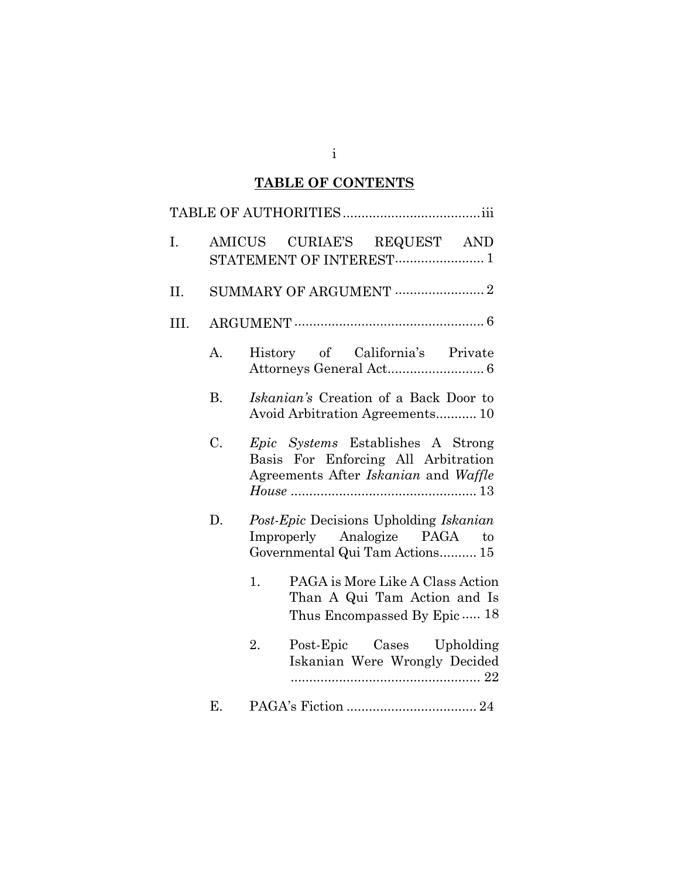## **TABLE OF CONTENTS**

| I.   |           | AMICUS CURIAE'S REQUEST AND<br>STATEMENT OF INTEREST 1                                                                                              |
|------|-----------|-----------------------------------------------------------------------------------------------------------------------------------------------------|
| II.  |           |                                                                                                                                                     |
| III. |           |                                                                                                                                                     |
|      | A.        | History of California's Private                                                                                                                     |
|      | <b>B.</b> | Iskanian's Creation of a Back Door to<br>Avoid Arbitration Agreements 10                                                                            |
|      | C.        | <i>Epic Systems</i> Establishes A Strong<br>Basis For Enforcing All Arbitration<br>Agreements After Iskanian and Waffle                             |
|      | D.        | Post-Epic Decisions Upholding Iskanian<br>Improperly Analogize PAGA to<br>Governmental Qui Tam Actions 15<br>PAGA is More Like A Class Action<br>1. |
|      |           | Than A Qui Tam Action and Is<br>Thus Encompassed By Epic  18                                                                                        |
|      |           | Post-Epic Cases Upholding<br>2.<br>Iskanian Were Wrongly Decided                                                                                    |
|      | Ε.        |                                                                                                                                                     |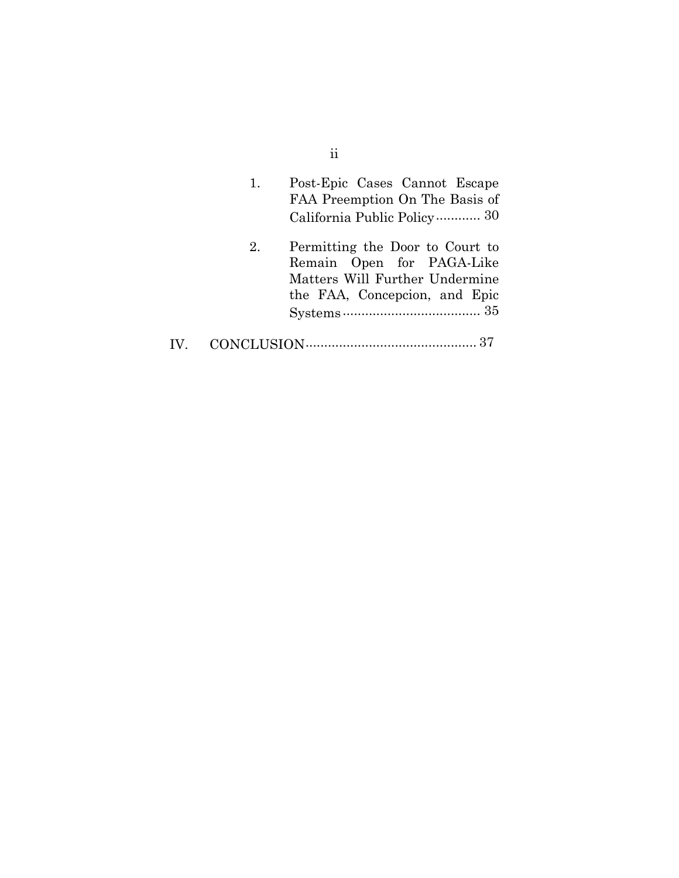| 1. | Post-Epic Cases Cannot Escape<br>FAA Preemption On The Basis of<br>California Public Policy 30                                  |
|----|---------------------------------------------------------------------------------------------------------------------------------|
| 2. | Permitting the Door to Court to<br>Remain Open for PAGA-Like<br>Matters Will Further Undermine<br>the FAA, Concepcion, and Epic |
|    |                                                                                                                                 |

IV. [CONCLUSION..............................................](#page-46-0) [37](#page-46-0)

ii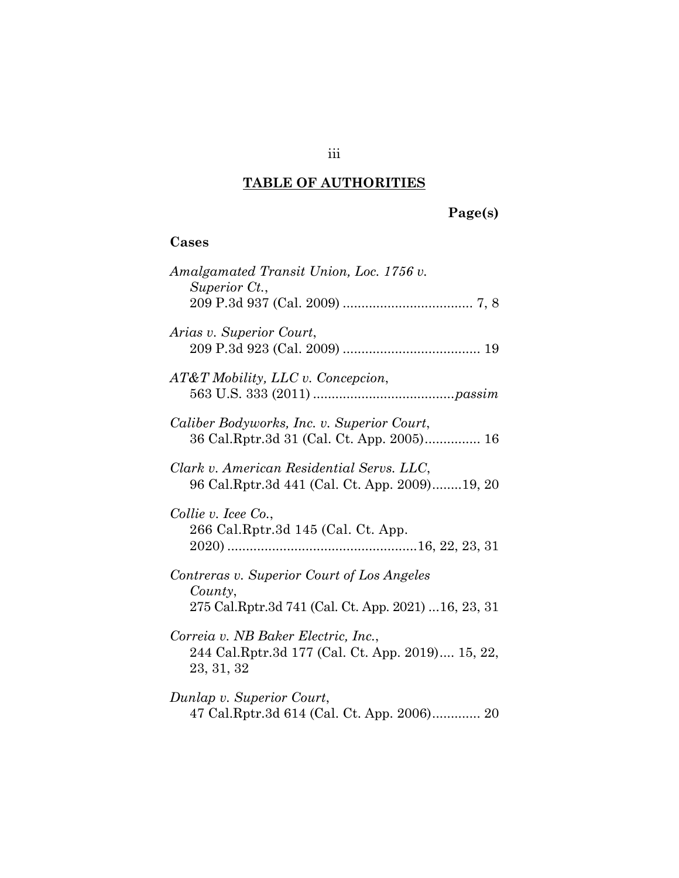## **TABLE OF AUTHORITIES**

## **Page(s)**

# **Cases**

| Amalgamated Transit Union, Loc. 1756 v.<br>Superior Ct.,                                                     |
|--------------------------------------------------------------------------------------------------------------|
| Arias v. Superior Court,                                                                                     |
| AT&T Mobility, LLC v. Concepcion,                                                                            |
| Caliber Bodyworks, Inc. v. Superior Court,<br>36 Cal.Rptr.3d 31 (Cal. Ct. App. 2005) 16                      |
| Clark v. American Residential Servs. LLC,<br>96 Cal.Rptr.3d 441 (Cal. Ct. App. 2009)19, 20                   |
| Collie v. Icee Co.,<br>266 Cal.Rptr.3d 145 (Cal. Ct. App.                                                    |
| Contreras v. Superior Court of Los Angeles<br>County,<br>275 Cal.Rptr.3d 741 (Cal. Ct. App. 2021) 16, 23, 31 |
| Correia v. NB Baker Electric, Inc.,<br>244 Cal.Rptr.3d 177 (Cal. Ct. App. 2019) 15, 22,<br>23, 31, 32        |
| Dunlap v. Superior Court,<br>47 Cal.Rptr.3d 614 (Cal. Ct. App. 2006) 20                                      |

## iii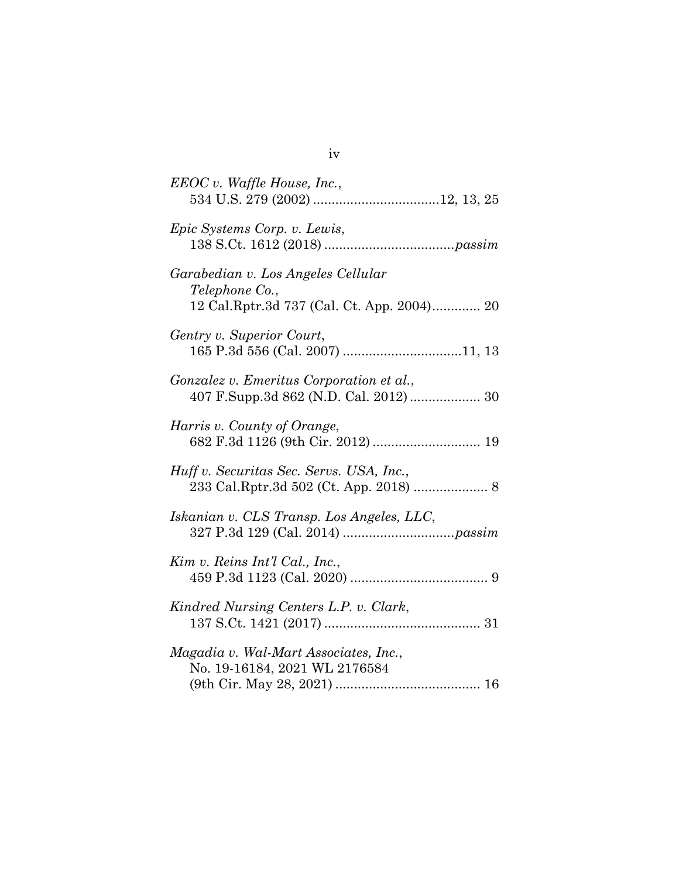| EEOC v. Waffle House, Inc.,                                                                        |
|----------------------------------------------------------------------------------------------------|
| Epic Systems Corp. v. Lewis,                                                                       |
| Garabedian v. Los Angeles Cellular<br>Telephone Co.,<br>12 Cal.Rptr.3d 737 (Cal. Ct. App. 2004) 20 |
| Gentry v. Superior Court,                                                                          |
| Gonzalez v. Emeritus Corporation et al.,<br>407 F.Supp.3d 862 (N.D. Cal. 2012) 30                  |
| Harris v. County of Orange,                                                                        |
| Huff v. Securitas Sec. Servs. USA, Inc.,                                                           |
| Iskanian v. CLS Transp. Los Angeles, LLC,                                                          |
| Kim v. Reins Int'l Cal., Inc.,                                                                     |
| Kindred Nursing Centers L.P. v. Clark,                                                             |
| Magadia v. Wal-Mart Associates, Inc.,<br>No. 19-16184, 2021 WL 2176584                             |

iv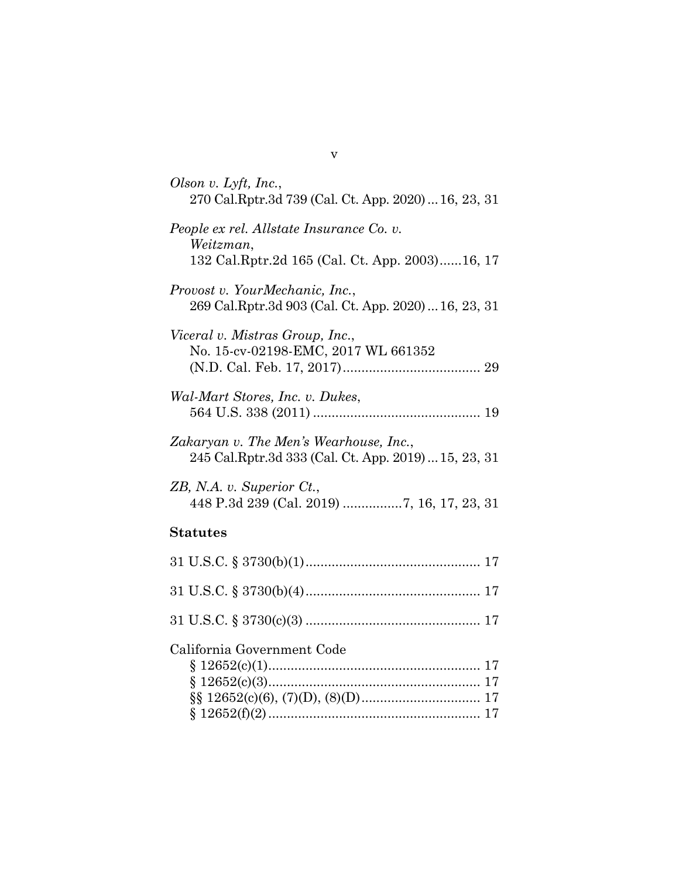| Olson v. Lyft, Inc.,<br>270 Cal.Rptr.3d 739 (Cal. Ct. App. 2020)  16, 23, 31                   |
|------------------------------------------------------------------------------------------------|
| People ex rel. Allstate Insurance Co. v.<br>Weitzman,                                          |
| 132 Cal.Rptr.2d 165 (Cal. Ct. App. 2003)16, 17                                                 |
| Provost v. YourMechanic, Inc.,<br>269 Cal.Rptr.3d 903 (Cal. Ct. App. 2020)  16, 23, 31         |
| Viceral v. Mistras Group, Inc.,                                                                |
| No. 15-cv-02198-EMC, 2017 WL 661352                                                            |
|                                                                                                |
| Wal-Mart Stores, Inc. v. Dukes,                                                                |
|                                                                                                |
| Zakaryan v. The Men's Wearhouse, Inc.,<br>245 Cal.Rptr.3d 333 (Cal. Ct. App. 2019)  15, 23, 31 |
| ZB, N.A. v. Superior Ct.,                                                                      |
|                                                                                                |
| <b>Statutes</b>                                                                                |
|                                                                                                |
|                                                                                                |
|                                                                                                |
| California Government Code                                                                     |
|                                                                                                |
|                                                                                                |
|                                                                                                |
|                                                                                                |

v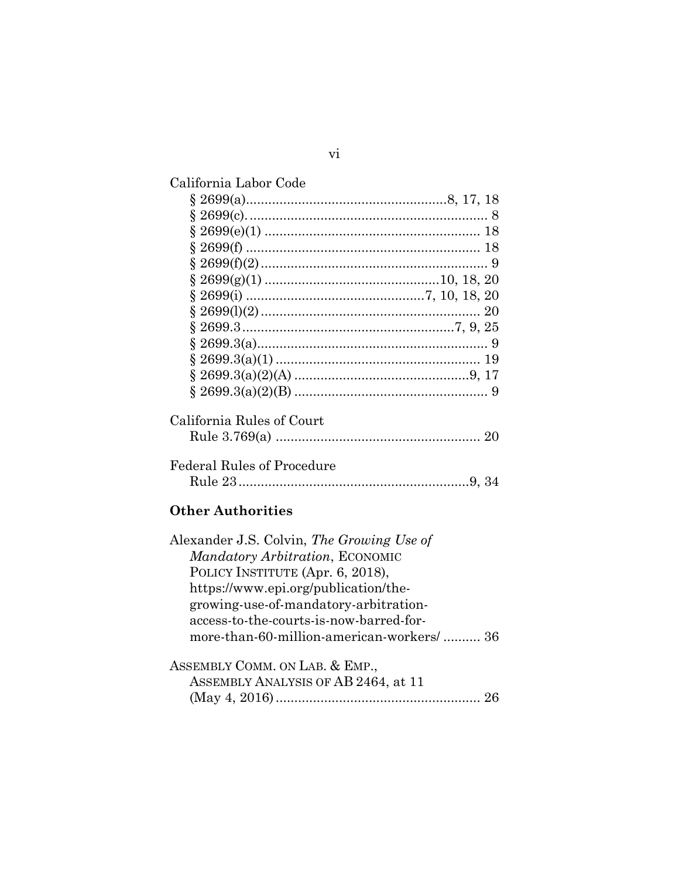| California Labor Code             |  |
|-----------------------------------|--|
|                                   |  |
|                                   |  |
|                                   |  |
|                                   |  |
|                                   |  |
|                                   |  |
|                                   |  |
|                                   |  |
|                                   |  |
|                                   |  |
|                                   |  |
|                                   |  |
|                                   |  |
| California Rules of Court         |  |
| <b>Federal Rules of Procedure</b> |  |

# **Other Authorities**

| Alexander J.S. Colvin, The Growing Use of |
|-------------------------------------------|
| Mandatory Arbitration, ECONOMIC           |
| POLICY INSTITUTE (Apr. 6, 2018),          |
| https://www.epi.org/publication/the-      |
| growing-use-of-mandatory-arbitration-     |
| access-to-the-courts-is-now-barred-for-   |
| more-than-60-million-american-workers/ 36 |
|                                           |
| ASSEMBLY COMM. ON LAB. & EMP.,            |
|                                           |

| ASSEMBLY ANALYSIS OF AB 2464, at 11 |  |
|-------------------------------------|--|
|                                     |  |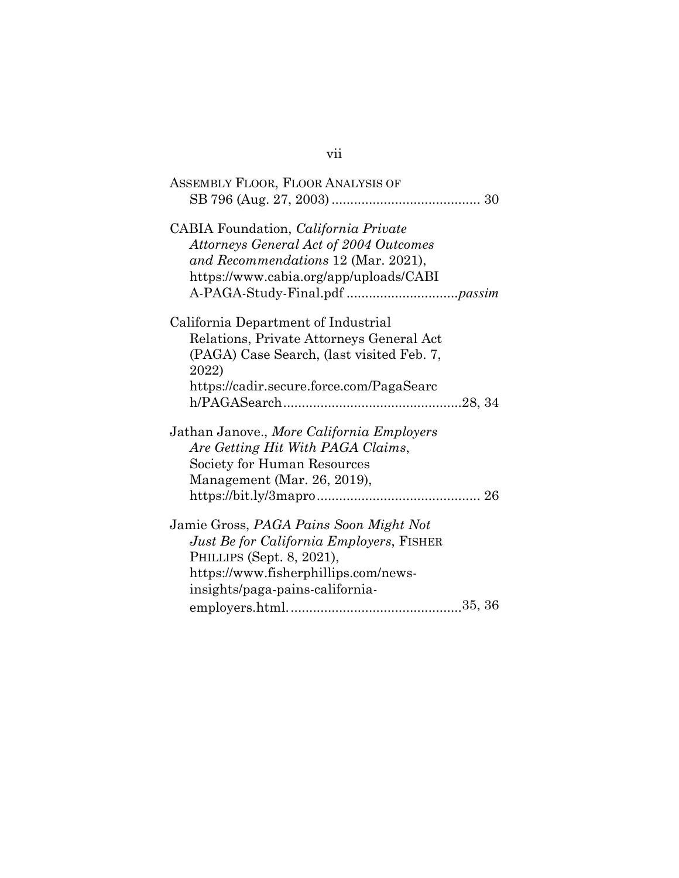| ASSEMBLY FLOOR, FLOOR ANALYSIS OF               |  |
|-------------------------------------------------|--|
|                                                 |  |
| CABIA Foundation, California Private            |  |
| <b>Attorneys General Act of 2004 Outcomes</b>   |  |
| and Recommendations 12 (Mar. 2021),             |  |
| https://www.cabia.org/app/uploads/CABI          |  |
|                                                 |  |
| California Department of Industrial             |  |
| Relations, Private Attorneys General Act        |  |
| (PAGA) Case Search, (last visited Feb. 7,       |  |
| 2022)                                           |  |
| https://cadir.secure.force.com/PagaSearc        |  |
|                                                 |  |
| Jathan Janove., More California Employers       |  |
| Are Getting Hit With PAGA Claims,               |  |
| Society for Human Resources                     |  |
| Management (Mar. 26, 2019),                     |  |
|                                                 |  |
| Jamie Gross, PAGA Pains Soon Might Not          |  |
| <i>Just Be for California Employers, FISHER</i> |  |
| PHILLIPS (Sept. 8, 2021),                       |  |
| https://www.fisherphillips.com/news-            |  |
| insights/paga-pains-california-                 |  |
|                                                 |  |
|                                                 |  |

## vii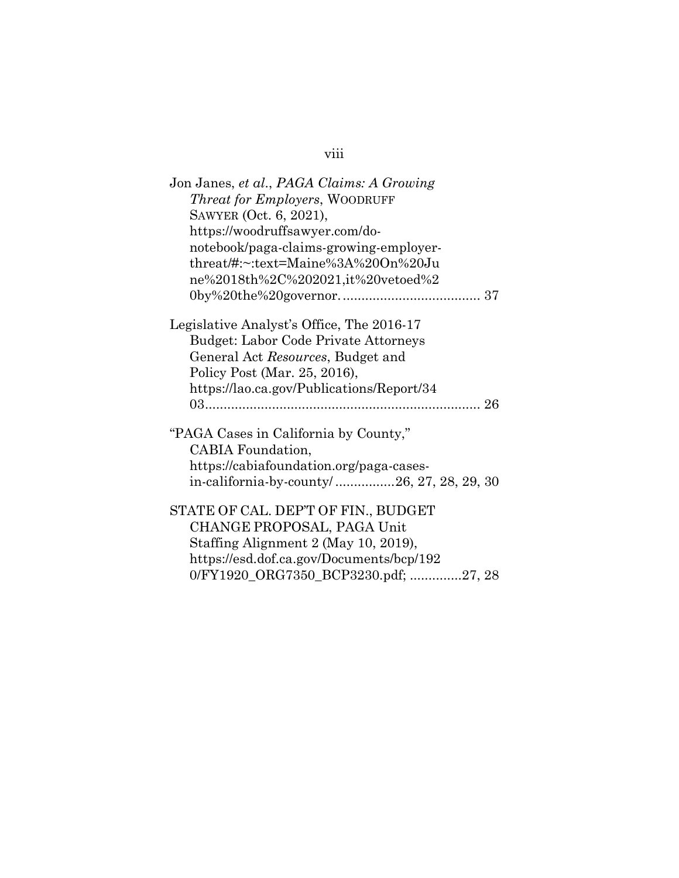# viii

| Jon Janes, et al., PAGA Claims: A Growing   |
|---------------------------------------------|
| Threat for Employers, WOODRUFF              |
| SAWYER (Oct. 6, 2021),                      |
| https://woodruffsawyer.com/do-              |
| notebook/paga-claims-growing-employer-      |
| threat/#:~:text=Maine%3A%20On%20Ju          |
| ne%2018th%2C%202021,it%20vetoed%2           |
|                                             |
| Legislative Analyst's Office, The 2016-17   |
| <b>Budget: Labor Code Private Attorneys</b> |
| General Act Resources, Budget and           |
| Policy Post (Mar. 25, 2016),                |
| https://lao.ca.gov/Publications/Report/34   |
|                                             |
|                                             |
| "PAGA Cases in California by County,"       |
| CABIA Foundation,                           |
| https://cabiafoundation.org/paga-cases-     |
| in-california-by-county/26, 27, 28, 29, 30  |
| STATE OF CAL. DEP'T OF FIN., BUDGET         |
| CHANGE PROPOSAL, PAGA Unit                  |
| Staffing Alignment 2 (May 10, 2019),        |
| https://esd.dof.ca.gov/Documents/bcp/192    |
| 0/FY1920_ORG7350_BCP3230.pdf; 27, 28        |
|                                             |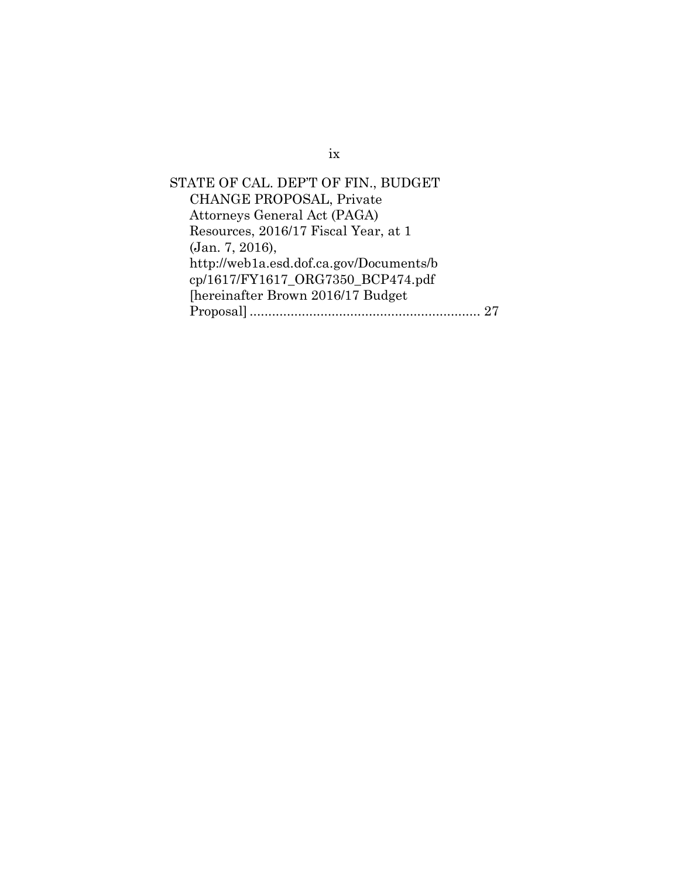STATE OF CAL. DEP'T OF FIN., BUDGET CHANGE PROPOSAL, Private Attorneys General Act (PAGA) Resources, 2016/17 Fiscal Year, at 1 (Jan. 7, 2016), http://web1a.esd.dof.ca.gov/Documents/b cp/1617/FY1617\_ORG7350\_BCP474.pdf [hereinafter Brown 2016/17 Budget Proposal].............................................................. [27](#page-36-3)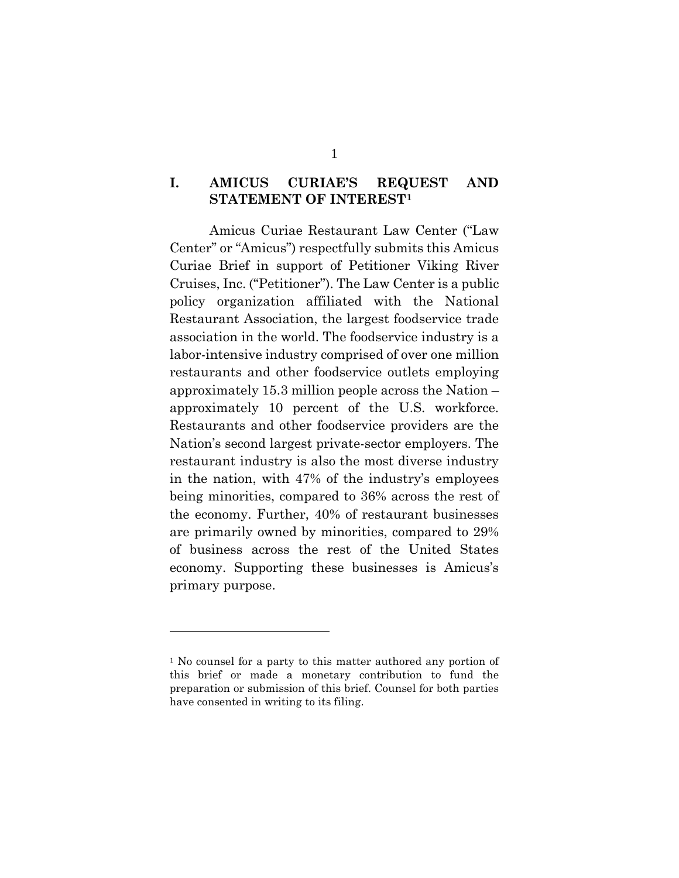## <span id="page-10-0"></span>**I. AMICUS CURIAE'S REQUEST AND STATEMENT OF INTEREST[1](#page-10-1)**

Amicus Curiae Restaurant Law Center ("Law Center" or "Amicus") respectfully submits this Amicus Curiae Brief in support of Petitioner Viking River Cruises, Inc. ("Petitioner"). The Law Center is a public policy organization affiliated with the National Restaurant Association, the largest foodservice trade association in the world. The foodservice industry is a labor-intensive industry comprised of over one million restaurants and other foodservice outlets employing approximately 15.3 million people across the Nation – approximately 10 percent of the U.S. workforce. Restaurants and other foodservice providers are the Nation's second largest private-sector employers. The restaurant industry is also the most diverse industry in the nation, with 47% of the industry's employees being minorities, compared to 36% across the rest of the economy. Further, 40% of restaurant businesses are primarily owned by minorities, compared to 29% of business across the rest of the United States economy. Supporting these businesses is Amicus's primary purpose.

<span id="page-10-1"></span><sup>&</sup>lt;sup>1</sup> No counsel for a party to this matter authored any portion of this brief or made a monetary contribution to fund the preparation or submission of this brief. Counsel for both parties have consented in writing to its filing.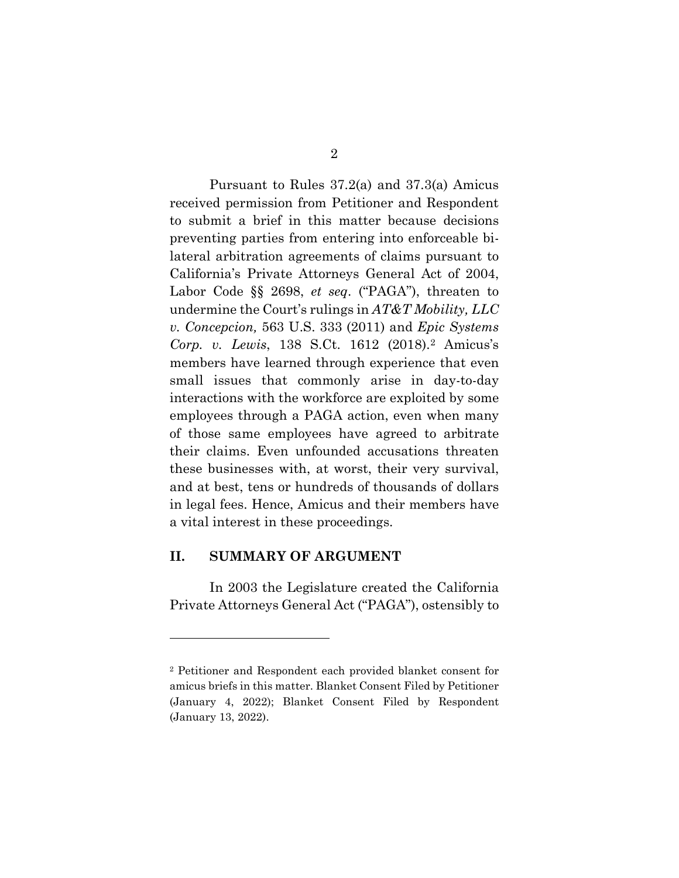Pursuant to Rules 37.2(a) and 37.3(a) Amicus received permission from Petitioner and Respondent to submit a brief in this matter because decisions preventing parties from entering into enforceable bilateral arbitration agreements of claims pursuant to California's Private Attorneys General Act of 2004, Labor Code §§ 2698, *et seq*. ("PAGA"), threaten to undermine the Court's rulings in *AT&T Mobility, LLC v. Concepcion,* 563 U.S. 333 (2011) and *Epic Systems Corp. v. Lewis*, 138 S.Ct. 1612 (2018).[2](#page-11-1) Amicus's members have learned through experience that even small issues that commonly arise in day-to-day interactions with the workforce are exploited by some employees through a PAGA action, even when many of those same employees have agreed to arbitrate their claims. Even unfounded accusations threaten these businesses with, at worst, their very survival, and at best, tens or hundreds of thousands of dollars in legal fees. Hence, Amicus and their members have a vital interest in these proceedings.

#### <span id="page-11-0"></span>**II. SUMMARY OF ARGUMENT**

In 2003 the Legislature created the California Private Attorneys General Act ("PAGA"), ostensibly to

<span id="page-11-1"></span><sup>2</sup> Petitioner and Respondent each provided blanket consent for amicus briefs in this matter. Blanket Consent Filed by Petitioner (January 4, 2022); Blanket Consent Filed by Respondent (January 13, 2022).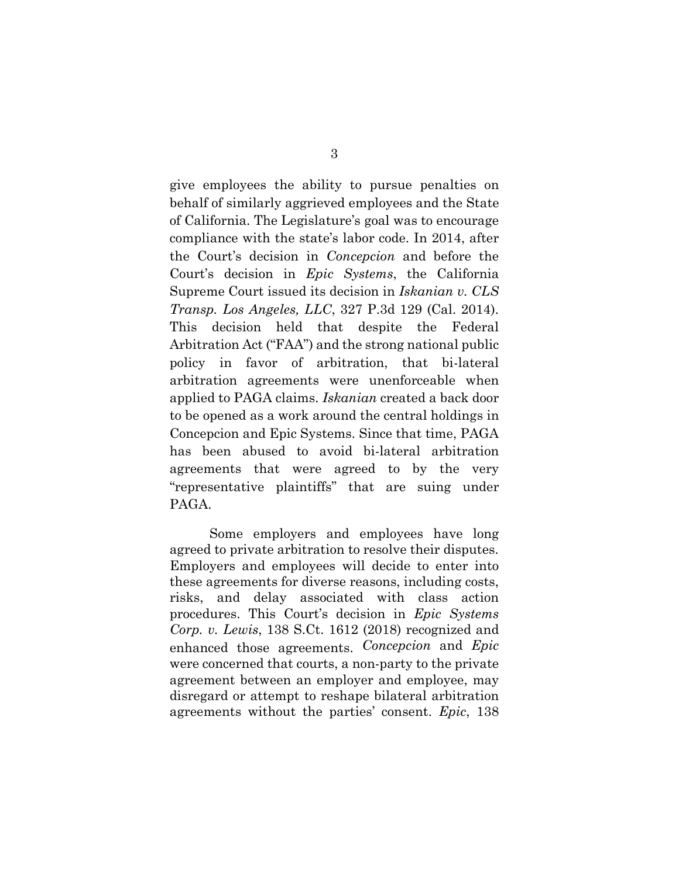give employees the ability to pursue penalties on behalf of similarly aggrieved employees and the State of California. The Legislature's goal was to encourage compliance with the state's labor code. In 2014, after the Court's decision in *Concepcion* and before the Court's decision in *Epic Systems*, the California Supreme Court issued its decision in *Iskanian v. CLS Transp. Los Angeles, LLC*, 327 P.3d 129 (Cal. 2014). This decision held that despite the Federal Arbitration Act ("FAA") and the strong national public policy in favor of arbitration, that bi-lateral arbitration agreements were unenforceable when applied to PAGA claims. *Iskanian* created a back door to be opened as a work around the central holdings in Concepcion and Epic Systems. Since that time, PAGA has been abused to avoid bi-lateral arbitration agreements that were agreed to by the very "representative plaintiffs" that are suing under PAGA.

Some employers and employees have long agreed to private arbitration to resolve their disputes. Employers and employees will decide to enter into these agreements for diverse reasons, including costs, risks, and delay associated with class action procedures. This Court's decision in *Epic Systems Corp. v. Lewis*, 138 S.Ct. 1612 (2018) recognized and enhanced those agreements. *Concepcion* and *Epic*  were concerned that courts, a non-party to the private agreement between an employer and employee, may disregard or attempt to reshape bilateral arbitration agreements without the parties' consent. *Epic*, 138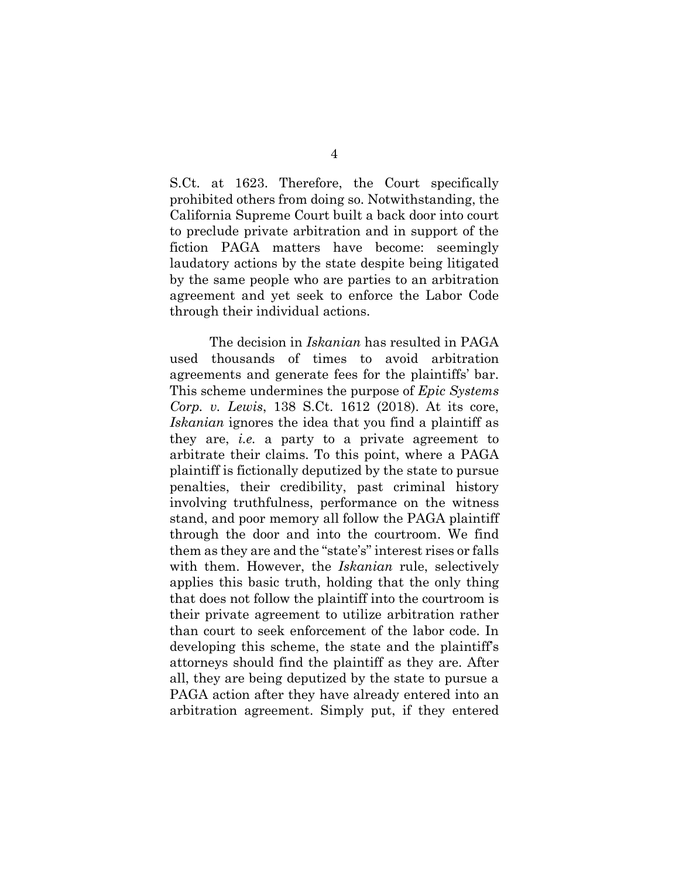S.Ct. at 1623. Therefore, the Court specifically prohibited others from doing so. Notwithstanding, the California Supreme Court built a back door into court to preclude private arbitration and in support of the fiction PAGA matters have become: seemingly laudatory actions by the state despite being litigated by the same people who are parties to an arbitration agreement and yet seek to enforce the Labor Code through their individual actions.

The decision in *Iskanian* has resulted in PAGA used thousands of times to avoid arbitration agreements and generate fees for the plaintiffs' bar. This scheme undermines the purpose of *Epic Systems Corp. v. Lewis*, 138 S.Ct. 1612 (2018). At its core, *Iskanian* ignores the idea that you find a plaintiff as they are, *i.e.* a party to a private agreement to arbitrate their claims. To this point, where a PAGA plaintiff is fictionally deputized by the state to pursue penalties, their credibility, past criminal history involving truthfulness, performance on the witness stand, and poor memory all follow the PAGA plaintiff through the door and into the courtroom. We find them as they are and the "state's" interest rises or falls with them. However, the *Iskanian* rule, selectively applies this basic truth, holding that the only thing that does not follow the plaintiff into the courtroom is their private agreement to utilize arbitration rather than court to seek enforcement of the labor code. In developing this scheme, the state and the plaintiff's attorneys should find the plaintiff as they are. After all, they are being deputized by the state to pursue a PAGA action after they have already entered into an arbitration agreement. Simply put, if they entered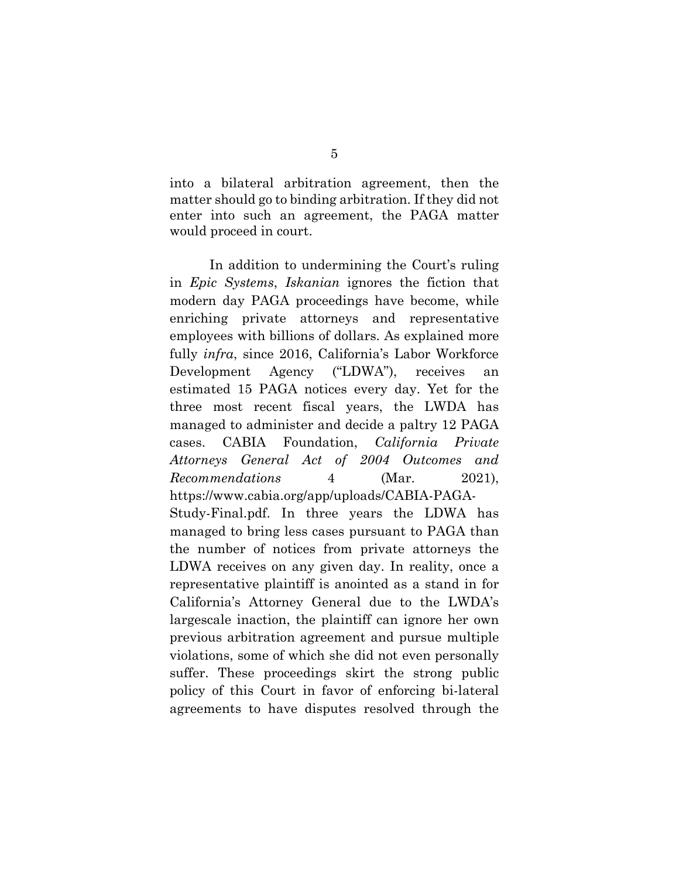into a bilateral arbitration agreement, then the matter should go to binding arbitration. If they did not enter into such an agreement, the PAGA matter would proceed in court.

<span id="page-14-0"></span>In addition to undermining the Court's ruling in *Epic Systems*, *Iskanian* ignores the fiction that modern day PAGA proceedings have become, while enriching private attorneys and representative employees with billions of dollars. As explained more fully *infra*, since 2016, California's Labor Workforce Development Agency ("LDWA"), receives an estimated 15 PAGA notices every day. Yet for the three most recent fiscal years, the LWDA has managed to administer and decide a paltry 12 PAGA cases. CABIA Foundation, *California Private Attorneys General Act of 2004 Outcomes and Recommendations* 4 (Mar. 2021), https://www.cabia.org/app/uploads/CABIA-PAGA-Study-Final.pdf. In three years the LDWA has managed to bring less cases pursuant to PAGA than the number of notices from private attorneys the LDWA receives on any given day. In reality, once a representative plaintiff is anointed as a stand in for California's Attorney General due to the LWDA's largescale inaction, the plaintiff can ignore her own previous arbitration agreement and pursue multiple violations, some of which she did not even personally suffer. These proceedings skirt the strong public policy of this Court in favor of enforcing bi-lateral agreements to have disputes resolved through the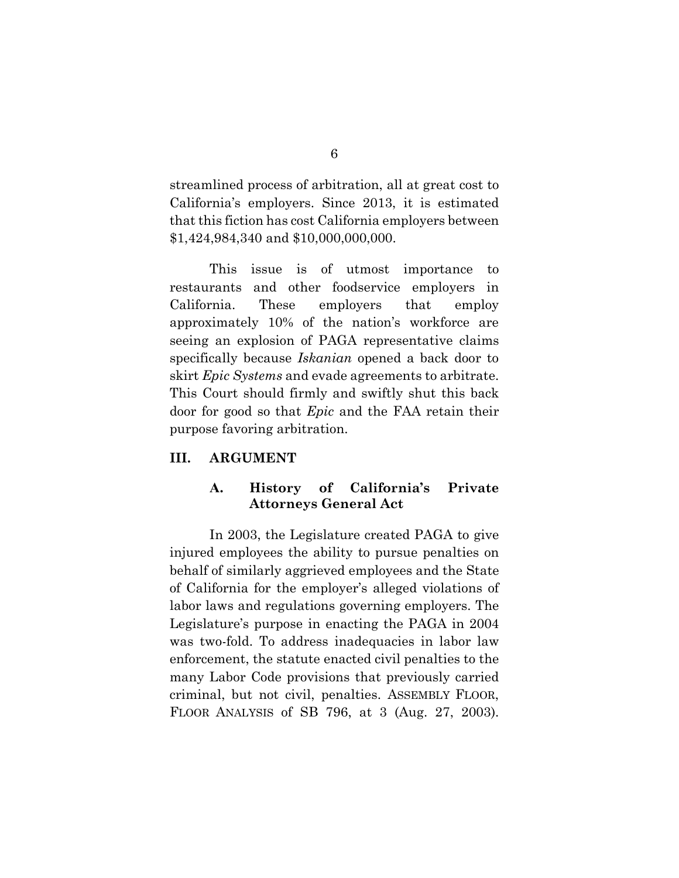streamlined process of arbitration, all at great cost to California's employers. Since 2013, it is estimated that this fiction has cost California employers between \$1,424,984,340 and \$10,000,000,000.

This issue is of utmost importance to restaurants and other foodservice employers in California. These employers that employ approximately 10% of the nation's workforce are seeing an explosion of PAGA representative claims specifically because *Iskanian* opened a back door to skirt *Epic Systems* and evade agreements to arbitrate. This Court should firmly and swiftly shut this back door for good so that *Epic* and the FAA retain their purpose favoring arbitration.

#### <span id="page-15-1"></span><span id="page-15-0"></span>**III. ARGUMENT**

## **A. History of California's Private Attorneys General Act**

In 2003, the Legislature created PAGA to give injured employees the ability to pursue penalties on behalf of similarly aggrieved employees and the State of California for the employer's alleged violations of labor laws and regulations governing employers. The Legislature's purpose in enacting the PAGA in 2004 was two-fold. To address inadequacies in labor law enforcement, the statute enacted civil penalties to the many Labor Code provisions that previously carried criminal, but not civil, penalties. ASSEMBLY FLOOR, FLOOR ANALYSIS of SB 796, at 3 (Aug. 27, 2003).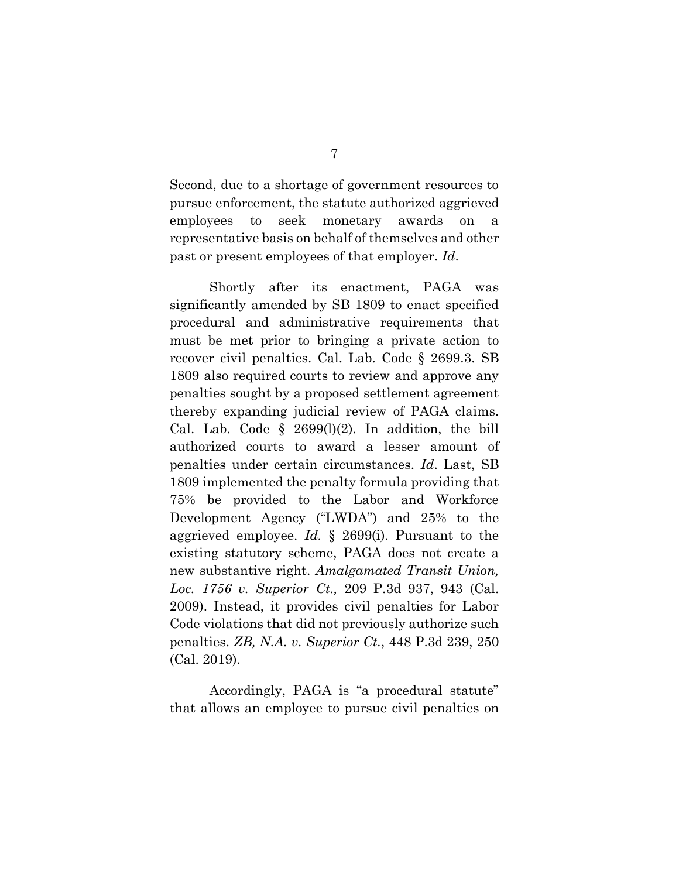Second, due to a shortage of government resources to pursue enforcement, the statute authorized aggrieved employees to seek monetary awards on a representative basis on behalf of themselves and other past or present employees of that employer. *Id*.

Shortly after its enactment, PAGA was significantly amended by SB 1809 to enact specified procedural and administrative requirements that must be met prior to bringing a private action to recover civil penalties. Cal. Lab. Code § 2699.3. SB 1809 also required courts to review and approve any penalties sought by a proposed settlement agreement thereby expanding judicial review of PAGA claims. Cal. Lab. Code  $\S$  2699(1)(2). In addition, the bill authorized courts to award a lesser amount of penalties under certain circumstances. *Id*. Last, SB 1809 implemented the penalty formula providing that 75% be provided to the Labor and Workforce Development Agency ("LWDA") and 25% to the aggrieved employee. *Id.* § 2699(i). Pursuant to the existing statutory scheme, PAGA does not create a new substantive right. *Amalgamated Transit Union, Loc. 1756 v. Superior Ct.,* 209 P.3d 937, 943 (Cal. 2009). Instead, it provides civil penalties for Labor Code violations that did not previously authorize such penalties. *ZB, N.A. v. Superior Ct.*, 448 P.3d 239, 250 (Cal. 2019).

<span id="page-16-1"></span><span id="page-16-0"></span>Accordingly, PAGA is "a procedural statute" that allows an employee to pursue civil penalties on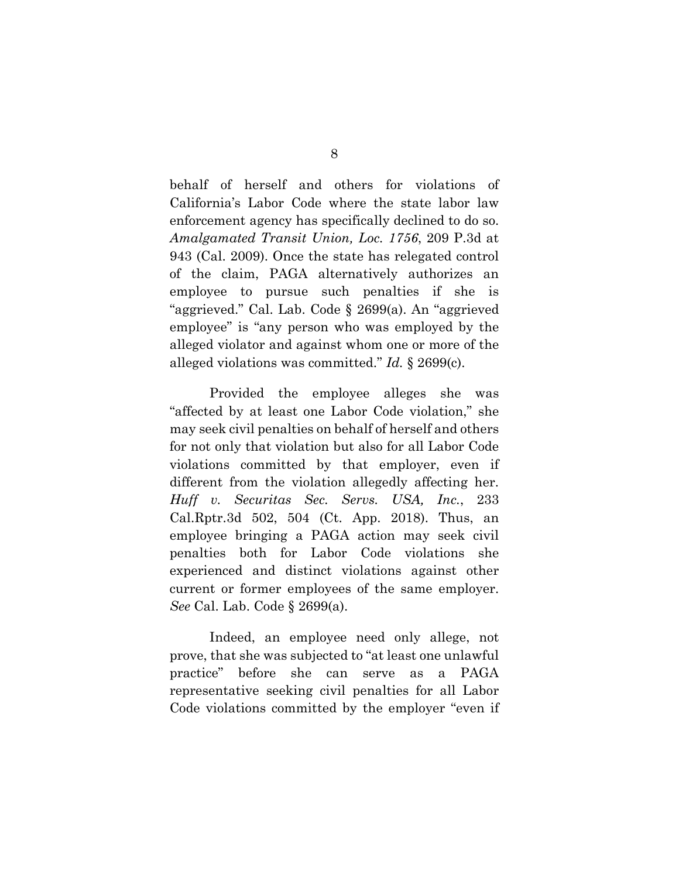<span id="page-17-0"></span>behalf of herself and others for violations of California's Labor Code where the state labor law enforcement agency has specifically declined to do so. *Amalgamated Transit Union, Loc. 1756*, 209 P.3d at 943 (Cal. 2009). Once the state has relegated control of the claim, PAGA alternatively authorizes an employee to pursue such penalties if she is "aggrieved." Cal. Lab. Code § 2699(a). An "aggrieved employee" is "any person who was employed by the alleged violator and against whom one or more of the alleged violations was committed." *Id.* § 2699(c).

<span id="page-17-1"></span>Provided the employee alleges she was "affected by at least one Labor Code violation," she may seek civil penalties on behalf of herself and others for not only that violation but also for all Labor Code violations committed by that employer, even if different from the violation allegedly affecting her. *Huff v. Securitas Sec. Servs. USA, Inc.*, 233 Cal.Rptr.3d 502, 504 (Ct. App. 2018). Thus, an employee bringing a PAGA action may seek civil penalties both for Labor Code violations she experienced and distinct violations against other current or former employees of the same employer. *See* Cal. Lab. Code § 2699(a).

Indeed, an employee need only allege, not prove, that she was subjected to "at least one unlawful practice" before she can serve as a PAGA representative seeking civil penalties for all Labor Code violations committed by the employer "even if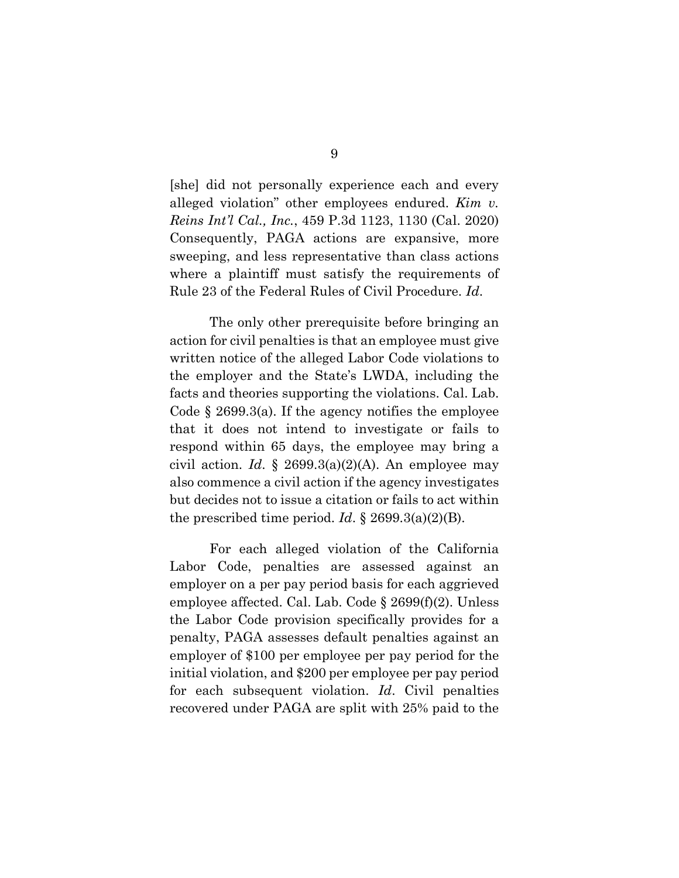<span id="page-18-0"></span>[she] did not personally experience each and every alleged violation" other employees endured. *Kim v. Reins Int'l Cal., Inc.*, 459 P.3d 1123, 1130 (Cal. 2020) Consequently, PAGA actions are expansive, more sweeping, and less representative than class actions where a plaintiff must satisfy the requirements of Rule 23 of the Federal Rules of Civil Procedure. *Id*.

The only other prerequisite before bringing an action for civil penalties is that an employee must give written notice of the alleged Labor Code violations to the employer and the State's LWDA, including the facts and theories supporting the violations. Cal. Lab. Code § 2699.3(a). If the agency notifies the employee that it does not intend to investigate or fails to respond within 65 days, the employee may bring a civil action. *Id.* § 2699.3(a)(2)(A). An employee may also commence a civil action if the agency investigates but decides not to issue a citation or fails to act within the prescribed time period. *Id*.  $\S 2699.3(a)(2)(B)$ .

For each alleged violation of the California Labor Code, penalties are assessed against an employer on a per pay period basis for each aggrieved employee affected. Cal. Lab. Code § 2699(f)(2). Unless the Labor Code provision specifically provides for a penalty, PAGA assesses default penalties against an employer of \$100 per employee per pay period for the initial violation, and \$200 per employee per pay period for each subsequent violation. *Id*. Civil penalties recovered under PAGA are split with 25% paid to the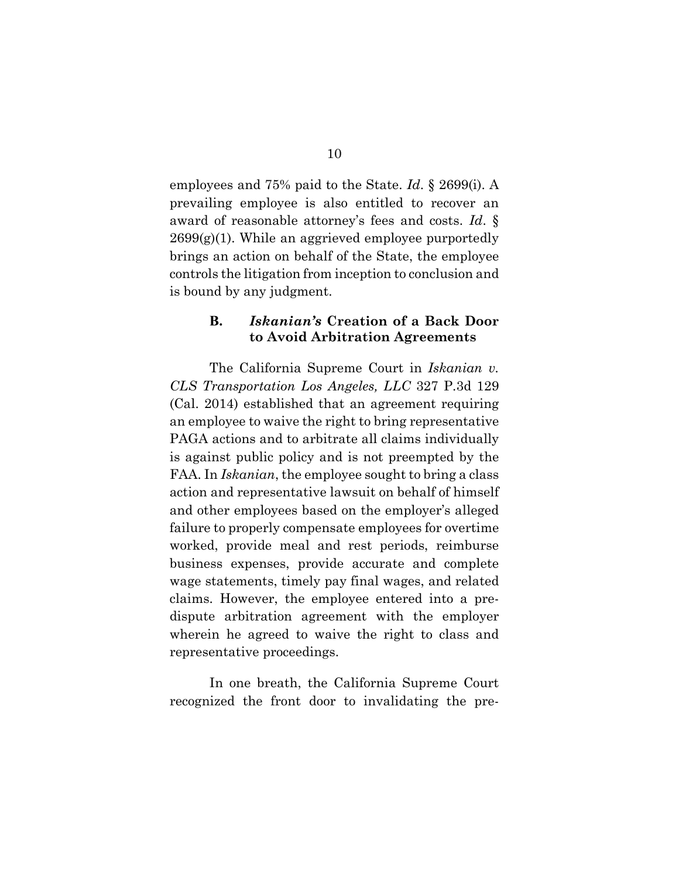employees and 75% paid to the State. *Id*. § 2699(i). A prevailing employee is also entitled to recover an award of reasonable attorney's fees and costs. *Id*. §  $2699(g)(1)$ . While an aggrieved employee purportedly brings an action on behalf of the State, the employee controls the litigation from inception to conclusion and is bound by any judgment.

#### <span id="page-19-0"></span>**B.** *Iskanian's* **Creation of a Back Door to Avoid Arbitration Agreements**

The California Supreme Court in *Iskanian v. CLS Transportation Los Angeles, LLC* 327 P.3d 129 (Cal. 2014) established that an agreement requiring an employee to waive the right to bring representative PAGA actions and to arbitrate all claims individually is against public policy and is not preempted by the FAA. In *Iskanian*, the employee sought to bring a class action and representative lawsuit on behalf of himself and other employees based on the employer's alleged failure to properly compensate employees for overtime worked, provide meal and rest periods, reimburse business expenses, provide accurate and complete wage statements, timely pay final wages, and related claims. However, the employee entered into a predispute arbitration agreement with the employer wherein he agreed to waive the right to class and representative proceedings.

In one breath, the California Supreme Court recognized the front door to invalidating the pre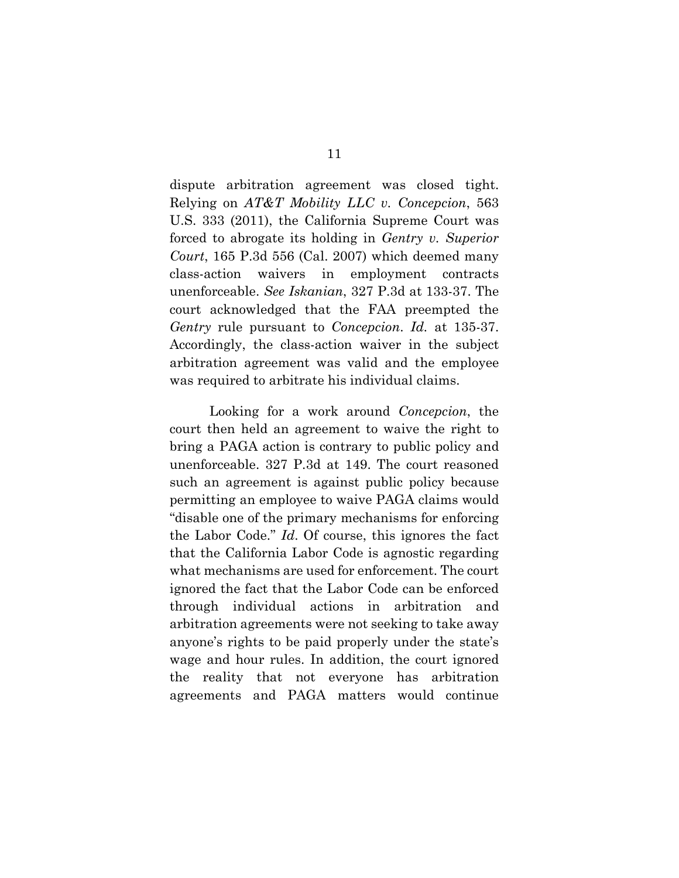<span id="page-20-0"></span>dispute arbitration agreement was closed tight. Relying on *AT&T Mobility LLC v. Concepcion*, 563 U.S. 333 (2011), the California Supreme Court was forced to abrogate its holding in *Gentry v. Superior Court*, 165 P.3d 556 (Cal. 2007) which deemed many class-action waivers in employment contracts unenforceable. *See Iskanian*, 327 P.3d at 133-37. The court acknowledged that the FAA preempted the *Gentry* rule pursuant to *Concepcion*. *Id.* at 135-37. Accordingly, the class-action waiver in the subject arbitration agreement was valid and the employee was required to arbitrate his individual claims.

Looking for a work around *Concepcion*, the court then held an agreement to waive the right to bring a PAGA action is contrary to public policy and unenforceable. 327 P.3d at 149. The court reasoned such an agreement is against public policy because permitting an employee to waive PAGA claims would "disable one of the primary mechanisms for enforcing the Labor Code." *Id*. Of course, this ignores the fact that the California Labor Code is agnostic regarding what mechanisms are used for enforcement. The court ignored the fact that the Labor Code can be enforced through individual actions in arbitration and arbitration agreements were not seeking to take away anyone's rights to be paid properly under the state's wage and hour rules. In addition, the court ignored the reality that not everyone has arbitration agreements and PAGA matters would continue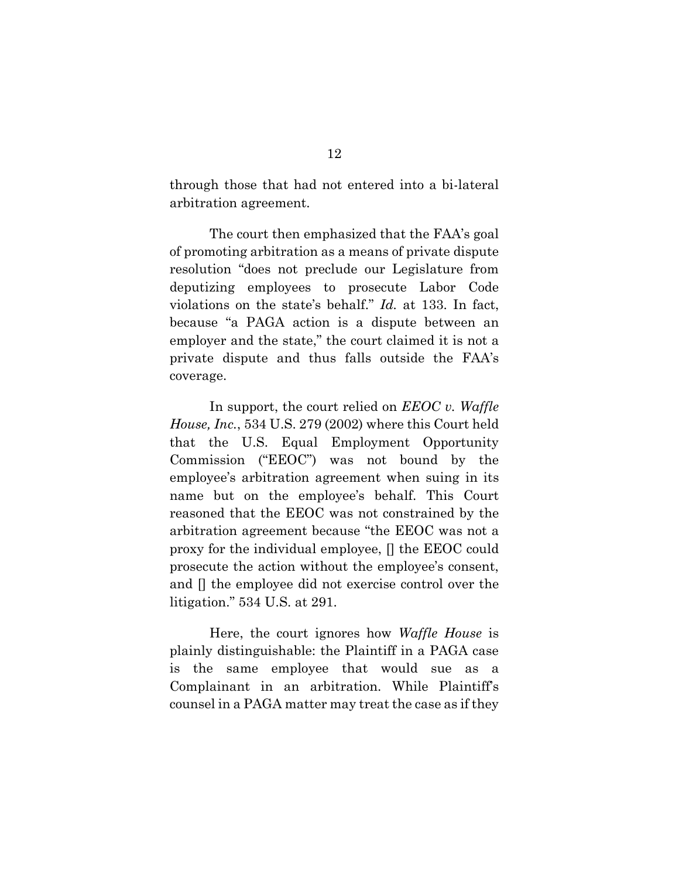through those that had not entered into a bi-lateral arbitration agreement.

The court then emphasized that the FAA's goal of promoting arbitration as a means of private dispute resolution "does not preclude our Legislature from deputizing employees to prosecute Labor Code violations on the state's behalf." *Id.* at 133. In fact, because "a PAGA action is a dispute between an employer and the state," the court claimed it is not a private dispute and thus falls outside the FAA's coverage.

<span id="page-21-0"></span>In support, the court relied on *EEOC v. Waffle House, Inc.*, 534 U.S. 279 (2002) where this Court held that the U.S. Equal Employment Opportunity Commission ("EEOC") was not bound by the employee's arbitration agreement when suing in its name but on the employee's behalf. This Court reasoned that the EEOC was not constrained by the arbitration agreement because "the EEOC was not a proxy for the individual employee, [] the EEOC could prosecute the action without the employee's consent, and [] the employee did not exercise control over the litigation." 534 U.S. at 291.

Here, the court ignores how *Waffle House* is plainly distinguishable: the Plaintiff in a PAGA case is the same employee that would sue as a Complainant in an arbitration. While Plaintiff's counsel in a PAGA matter may treat the case as if they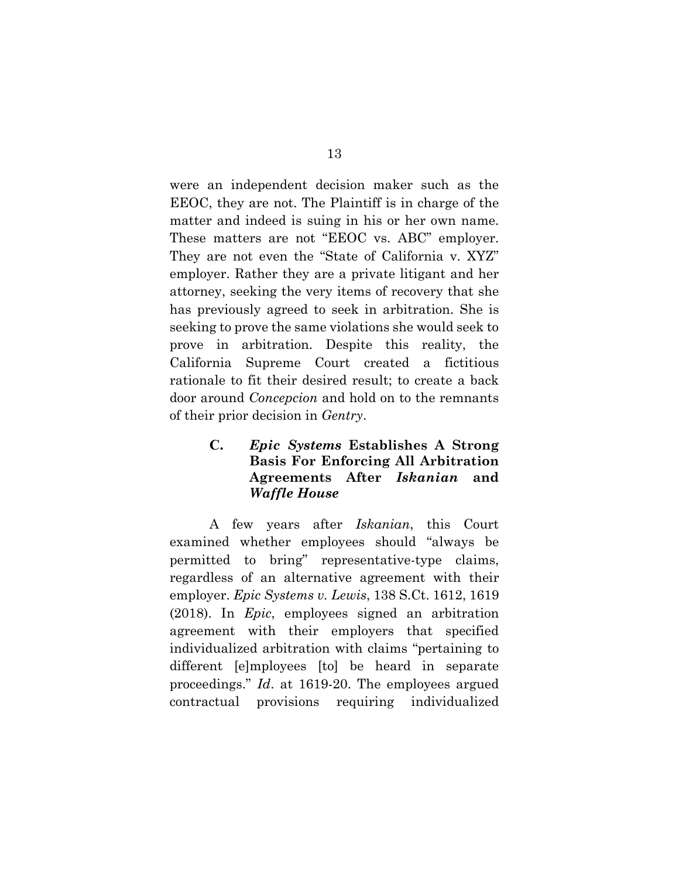were an independent decision maker such as the EEOC, they are not. The Plaintiff is in charge of the matter and indeed is suing in his or her own name. These matters are not "EEOC vs. ABC" employer. They are not even the "State of California v. XYZ" employer. Rather they are a private litigant and her attorney, seeking the very items of recovery that she has previously agreed to seek in arbitration. She is seeking to prove the same violations she would seek to prove in arbitration. Despite this reality, the California Supreme Court created a fictitious rationale to fit their desired result; to create a back door around *Concepcion* and hold on to the remnants of their prior decision in *Gentry*.

## <span id="page-22-2"></span><span id="page-22-1"></span><span id="page-22-0"></span>**C.** *Epic Systems* **Establishes A Strong Basis For Enforcing All Arbitration Agreements After** *Iskanian* **and**  *Waffle House*

A few years after *Iskanian*, this Court examined whether employees should "always be permitted to bring" representative-type claims, regardless of an alternative agreement with their employer. *Epic Systems v. Lewis*, 138 S.Ct. 1612, 1619 (2018). In *Epic*, employees signed an arbitration agreement with their employers that specified individualized arbitration with claims "pertaining to different [e]mployees [to] be heard in separate proceedings." *Id*. at 1619-20. The employees argued contractual provisions requiring individualized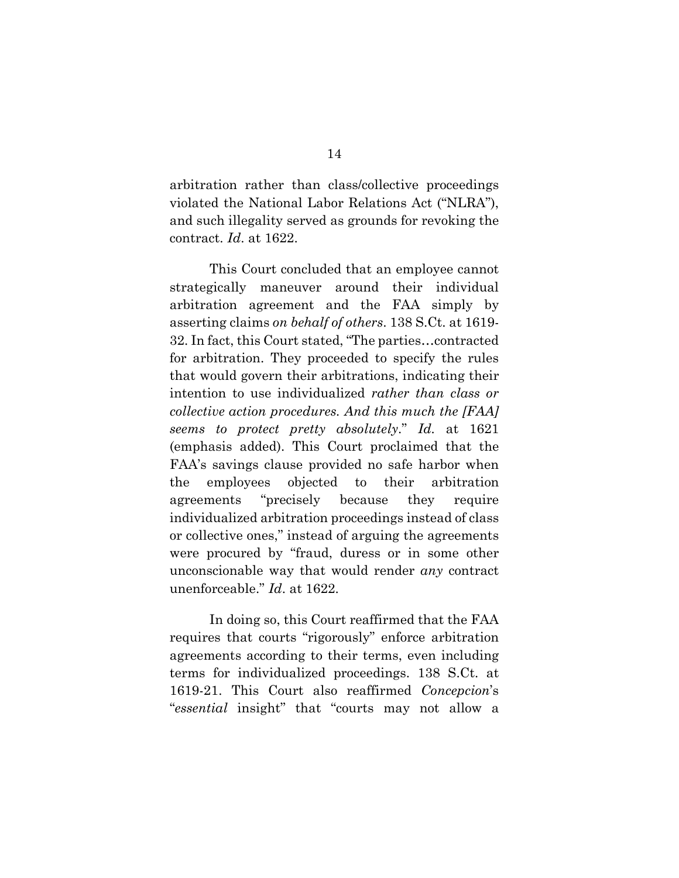arbitration rather than class/collective proceedings violated the National Labor Relations Act ("NLRA"), and such illegality served as grounds for revoking the contract. *Id*. at 1622.

This Court concluded that an employee cannot strategically maneuver around their individual arbitration agreement and the FAA simply by asserting claims *on behalf of others*. 138 S.Ct. at 1619- 32. In fact, this Court stated, "The parties…contracted for arbitration. They proceeded to specify the rules that would govern their arbitrations, indicating their intention to use individualized *rather than class or collective action procedures. And this much the [FAA] seems to protect pretty absolutely*." *Id.* at 1621 (emphasis added). This Court proclaimed that the FAA's savings clause provided no safe harbor when the employees objected to their arbitration agreements "precisely because they require individualized arbitration proceedings instead of class or collective ones," instead of arguing the agreements were procured by "fraud, duress or in some other unconscionable way that would render *any* contract unenforceable." *Id*. at 1622.

In doing so, this Court reaffirmed that the FAA requires that courts "rigorously" enforce arbitration agreements according to their terms, even including terms for individualized proceedings. 138 S.Ct. at 1619-21. This Court also reaffirmed *Concepcion*'s "*essential* insight" that "courts may not allow a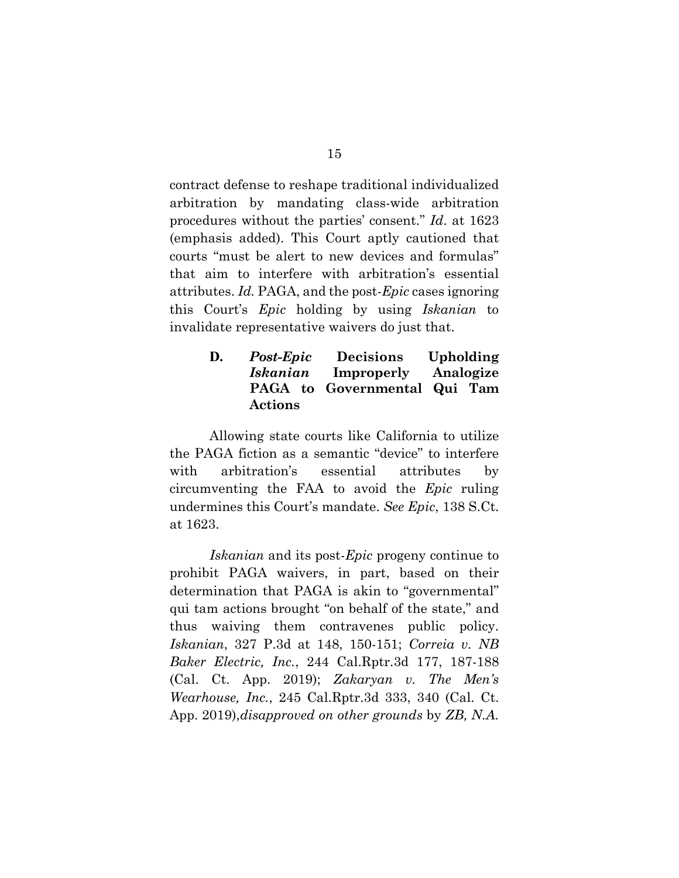contract defense to reshape traditional individualized arbitration by mandating class-wide arbitration procedures without the parties' consent." *Id*. at 1623 (emphasis added). This Court aptly cautioned that courts "must be alert to new devices and formulas" that aim to interfere with arbitration's essential attributes. *Id.* PAGA, and the post-*Epic* cases ignoring this Court's *Epic* holding by using *Iskanian* to invalidate representative waivers do just that.

## <span id="page-24-0"></span>**D.** *Post-Epic* **Decisions Upholding**  *Iskanian* **Improperly Analogize PAGA to Governmental Qui Tam Actions**

Allowing state courts like California to utilize the PAGA fiction as a semantic "device" to interfere with arbitration's essential attributes by circumventing the FAA to avoid the *Epic* ruling undermines this Court's mandate. *See Epic*, 138 S.Ct. at 1623.

<span id="page-24-3"></span><span id="page-24-2"></span><span id="page-24-1"></span>*Iskanian* and its post-*Epic* progeny continue to prohibit PAGA waivers, in part, based on their determination that PAGA is akin to "governmental" qui tam actions brought "on behalf of the state," and thus waiving them contravenes public policy. *Iskanian*, 327 P.3d at 148, 150-151; *Correia v. NB Baker Electric, Inc.*, 244 Cal.Rptr.3d 177, 187-188 (Cal. Ct. App. 2019); *Zakaryan v. The Men's Wearhouse, Inc.*, 245 Cal.Rptr.3d 333, 340 (Cal. Ct. App. 2019),*disapproved on other grounds* by *ZB, N.A.*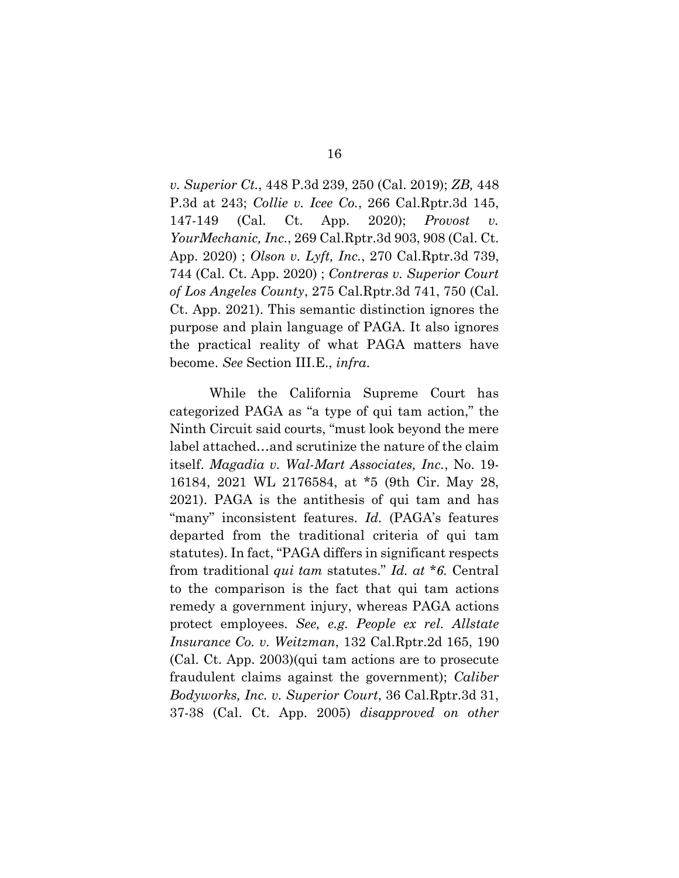<span id="page-25-6"></span><span id="page-25-4"></span><span id="page-25-2"></span><span id="page-25-1"></span>*v. Superior Ct.*, 448 P.3d 239, 250 (Cal. 2019); *ZB,* 448 P.3d at 243; *Collie v. Icee Co.*, 266 Cal.Rptr.3d 145, 147-149 (Cal. Ct. App. 2020); *Provost v. YourMechanic, Inc.*, 269 Cal.Rptr.3d 903, 908 (Cal. Ct. App. 2020) ; *Olson v. Lyft, Inc.*, 270 Cal.Rptr.3d 739, 744 (Cal. Ct. App. 2020) ; *Contreras v. Superior Court of Los Angeles County*, 275 Cal.Rptr.3d 741, 750 (Cal. Ct. App. 2021). This semantic distinction ignores the purpose and plain language of PAGA. It also ignores the practical reality of what PAGA matters have become. *See* Section III.E., *infra*.

<span id="page-25-5"></span><span id="page-25-3"></span><span id="page-25-0"></span>While the California Supreme Court has categorized PAGA as "a type of qui tam action," the Ninth Circuit said courts, "must look beyond the mere label attached…and scrutinize the nature of the claim itself. *Magadia v. Wal-Mart Associates, Inc.*, No. 19- 16184, 2021 WL 2176584, at \*5 (9th Cir. May 28, 2021). PAGA is the antithesis of qui tam and has "many" inconsistent features. *Id.* (PAGA's features departed from the traditional criteria of qui tam statutes). In fact, "PAGA differs in significant respects from traditional *qui tam* statutes." *Id. at \*6.* Central to the comparison is the fact that qui tam actions remedy a government injury, whereas PAGA actions protect employees. *See, e.g. People ex rel. Allstate Insurance Co. v. Weitzman*, 132 Cal.Rptr.2d 165, 190 (Cal. Ct. App. 2003)(qui tam actions are to prosecute fraudulent claims against the government); *Caliber Bodyworks, Inc. v. Superior Court*, 36 Cal.Rptr.3d 31, 37-38 (Cal. Ct. App. 2005) *disapproved on other*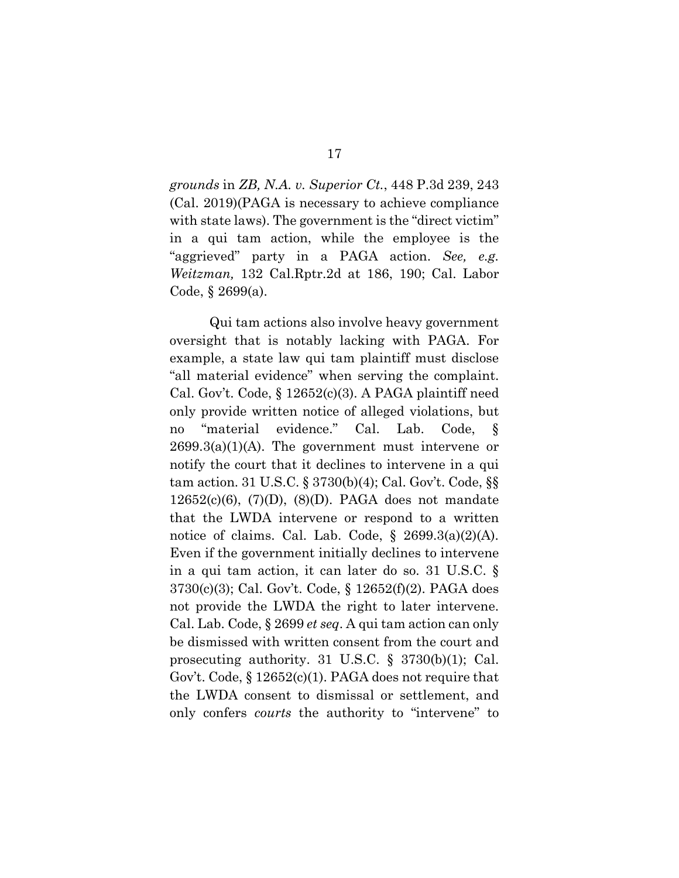<span id="page-26-1"></span>*grounds* in *ZB, N.A. v. Superior Ct.*, 448 P.3d 239, 243 (Cal. 2019)(PAGA is necessary to achieve compliance with state laws). The government is the "direct victim" in a qui tam action, while the employee is the "aggrieved" party in a PAGA action. *See, e.g. Weitzman,* 132 Cal.Rptr.2d at 186, 190; Cal. Labor Code, § 2699(a).

<span id="page-26-4"></span><span id="page-26-3"></span><span id="page-26-2"></span><span id="page-26-0"></span>Qui tam actions also involve heavy government oversight that is notably lacking with PAGA. For example, a state law qui tam plaintiff must disclose "all material evidence" when serving the complaint. Cal. Gov't. Code, § 12652(c)(3). A PAGA plaintiff need only provide written notice of alleged violations, but no "material evidence." Cal. Lab. Code, §  $2699.3(a)(1)(A)$ . The government must intervene or notify the court that it declines to intervene in a qui tam action. 31 U.S.C. § 3730(b)(4); Cal. Gov't. Code, §§  $12652(c)(6)$ ,  $(7)(D)$ ,  $(8)(D)$ . PAGA does not mandate that the LWDA intervene or respond to a written notice of claims. Cal. Lab. Code,  $\S$  2699.3(a)(2)(A). Even if the government initially declines to intervene in a qui tam action, it can later do so. 31 U.S.C. § 3730(c)(3); Cal. Gov't. Code, § 12652(f)(2). PAGA does not provide the LWDA the right to later intervene. Cal. Lab. Code, § 2699 *et seq*. A qui tam action can only be dismissed with written consent from the court and prosecuting authority. 31 U.S.C. § 3730(b)(1); Cal. Gov't. Code,  $\S 12652(c)(1)$ . PAGA does not require that the LWDA consent to dismissal or settlement, and only confers *courts* the authority to "intervene" to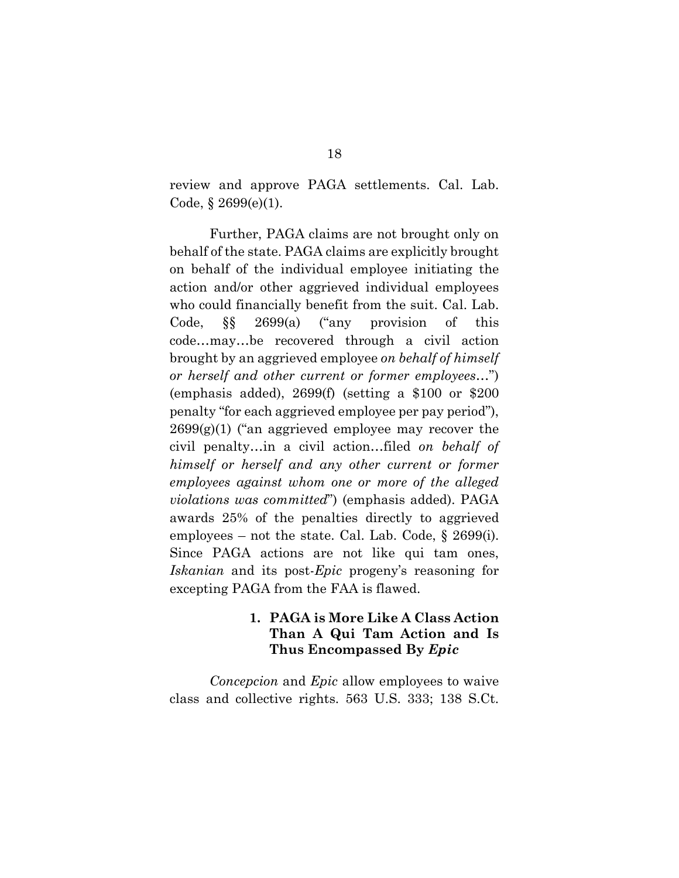review and approve PAGA settlements. Cal. Lab. Code,  $§ 2699(e)(1)$ .

Further, PAGA claims are not brought only on behalf of the state. PAGA claims are explicitly brought on behalf of the individual employee initiating the action and/or other aggrieved individual employees who could financially benefit from the suit. Cal. Lab. Code, §§ 2699(a) ("any provision of this code…may…be recovered through a civil action brought by an aggrieved employee *on behalf of himself or herself and other current or former employees*…") (emphasis added), 2699(f) (setting a \$100 or \$200 penalty "for each aggrieved employee per pay period"),  $2699(g)(1)$  ("an aggrieved employee may recover the civil penalty…in a civil action…filed *on behalf of himself or herself and any other current or former employees against whom one or more of the alleged violations was committed*") (emphasis added). PAGA awards 25% of the penalties directly to aggrieved employees – not the state. Cal. Lab. Code, § 2699(i). Since PAGA actions are not like qui tam ones, *Iskanian* and its post-*Epic* progeny's reasoning for excepting PAGA from the FAA is flawed.

## **1. PAGA is More Like A Class Action Than A Qui Tam Action and Is Thus Encompassed By** *Epic*

<span id="page-27-0"></span>*Concepcion* and *Epic* allow employees to waive class and collective rights. 563 U.S. 333; 138 S.Ct.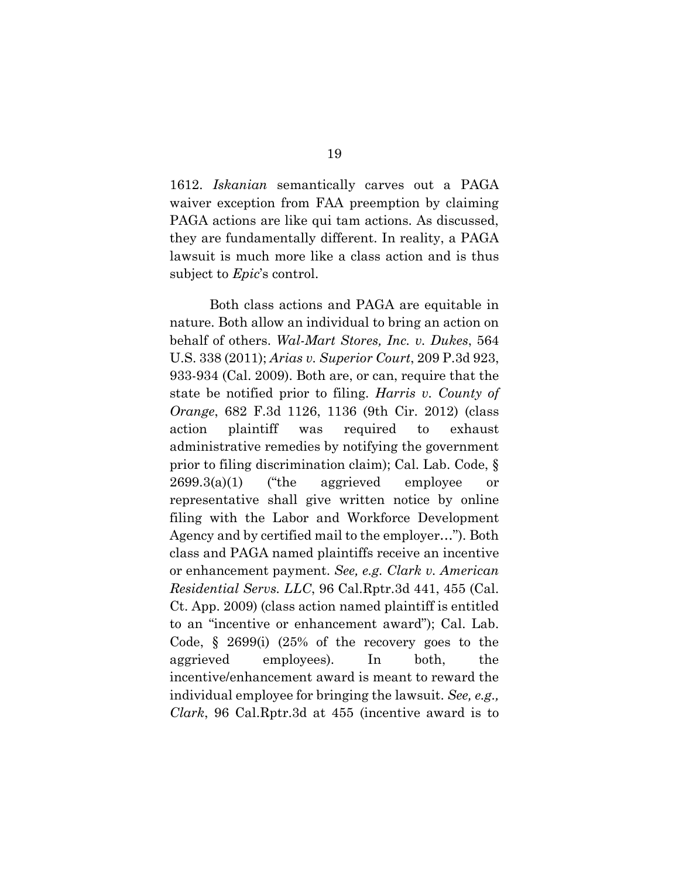1612. *Iskanian* semantically carves out a PAGA waiver exception from FAA preemption by claiming PAGA actions are like qui tam actions. As discussed, they are fundamentally different. In reality, a PAGA lawsuit is much more like a class action and is thus subject to *Epic*'s control.

<span id="page-28-4"></span><span id="page-28-3"></span><span id="page-28-2"></span><span id="page-28-1"></span><span id="page-28-0"></span>Both class actions and PAGA are equitable in nature. Both allow an individual to bring an action on behalf of others. *Wal-Mart Stores, Inc. v. Dukes*, 564 U.S. 338 (2011); *Arias v. Superior Court*, 209 P.3d 923, 933-934 (Cal. 2009). Both are, or can, require that the state be notified prior to filing. *Harris v. County of Orange*, 682 F.3d 1126, 1136 (9th Cir. 2012) (class action plaintiff was required to exhaust administrative remedies by notifying the government prior to filing discrimination claim); Cal. Lab. Code, § 2699.3(a)(1) ("the aggrieved employee or representative shall give written notice by online filing with the Labor and Workforce Development Agency and by certified mail to the employer…"). Both class and PAGA named plaintiffs receive an incentive or enhancement payment. *See, e.g. Clark v. American Residential Servs. LLC*, 96 Cal.Rptr.3d 441, 455 (Cal. Ct. App. 2009) (class action named plaintiff is entitled to an "incentive or enhancement award"); Cal. Lab. Code, § 2699(i) (25% of the recovery goes to the aggrieved employees). In both, the incentive/enhancement award is meant to reward the individual employee for bringing the lawsuit. *See, e.g., Clark*, 96 Cal.Rptr.3d at 455 (incentive award is to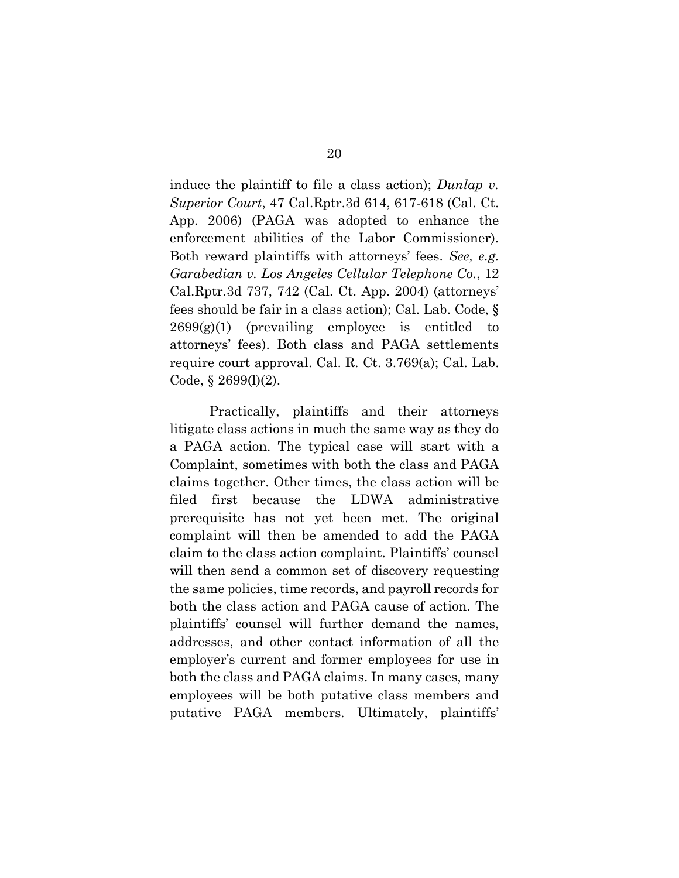<span id="page-29-1"></span><span id="page-29-0"></span>induce the plaintiff to file a class action); *Dunlap v. Superior Court*, 47 Cal.Rptr.3d 614, 617-618 (Cal. Ct. App. 2006) (PAGA was adopted to enhance the enforcement abilities of the Labor Commissioner). Both reward plaintiffs with attorneys' fees. *See, e.g. Garabedian v. Los Angeles Cellular Telephone Co.*, 12 Cal.Rptr.3d 737, 742 (Cal. Ct. App. 2004) (attorneys' fees should be fair in a class action); Cal. Lab. Code, §  $2699(g)(1)$  (prevailing employee is entitled to attorneys' fees). Both class and PAGA settlements require court approval. Cal. R. Ct. 3.769(a); Cal. Lab. Code,  $\S 2699(l)(2)$ .

Practically, plaintiffs and their attorneys litigate class actions in much the same way as they do a PAGA action. The typical case will start with a Complaint, sometimes with both the class and PAGA claims together. Other times, the class action will be filed first because the LDWA administrative prerequisite has not yet been met. The original complaint will then be amended to add the PAGA claim to the class action complaint. Plaintiffs' counsel will then send a common set of discovery requesting the same policies, time records, and payroll records for both the class action and PAGA cause of action. The plaintiffs' counsel will further demand the names, addresses, and other contact information of all the employer's current and former employees for use in both the class and PAGA claims. In many cases, many employees will be both putative class members and putative PAGA members. Ultimately, plaintiffs'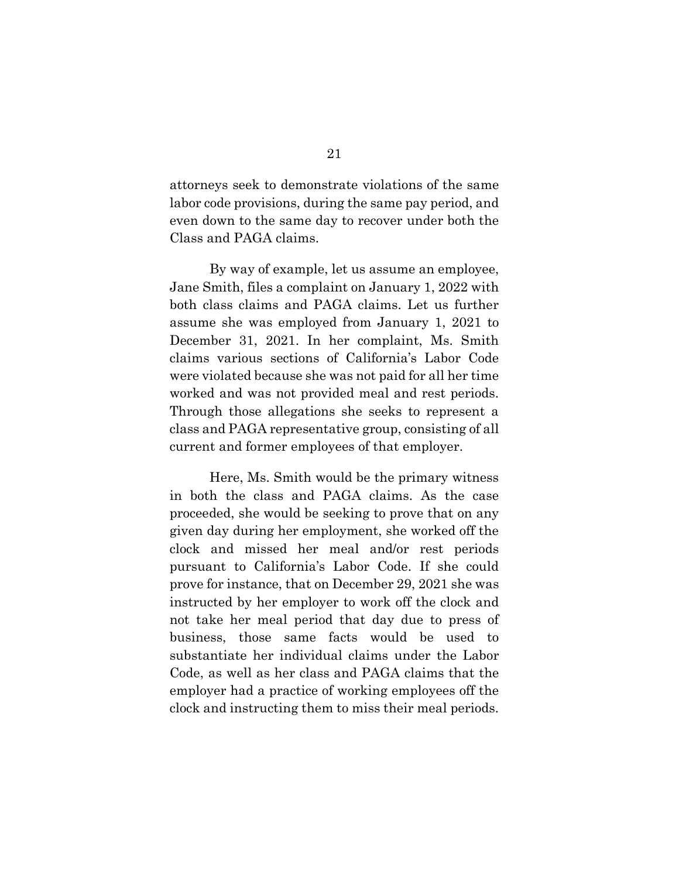attorneys seek to demonstrate violations of the same labor code provisions, during the same pay period, and even down to the same day to recover under both the Class and PAGA claims.

By way of example, let us assume an employee, Jane Smith, files a complaint on January 1, 2022 with both class claims and PAGA claims. Let us further assume she was employed from January 1, 2021 to December 31, 2021. In her complaint, Ms. Smith claims various sections of California's Labor Code were violated because she was not paid for all her time worked and was not provided meal and rest periods. Through those allegations she seeks to represent a class and PAGA representative group, consisting of all current and former employees of that employer.

Here, Ms. Smith would be the primary witness in both the class and PAGA claims. As the case proceeded, she would be seeking to prove that on any given day during her employment, she worked off the clock and missed her meal and/or rest periods pursuant to California's Labor Code. If she could prove for instance, that on December 29, 2021 she was instructed by her employer to work off the clock and not take her meal period that day due to press of business, those same facts would be used to substantiate her individual claims under the Labor Code, as well as her class and PAGA claims that the employer had a practice of working employees off the clock and instructing them to miss their meal periods.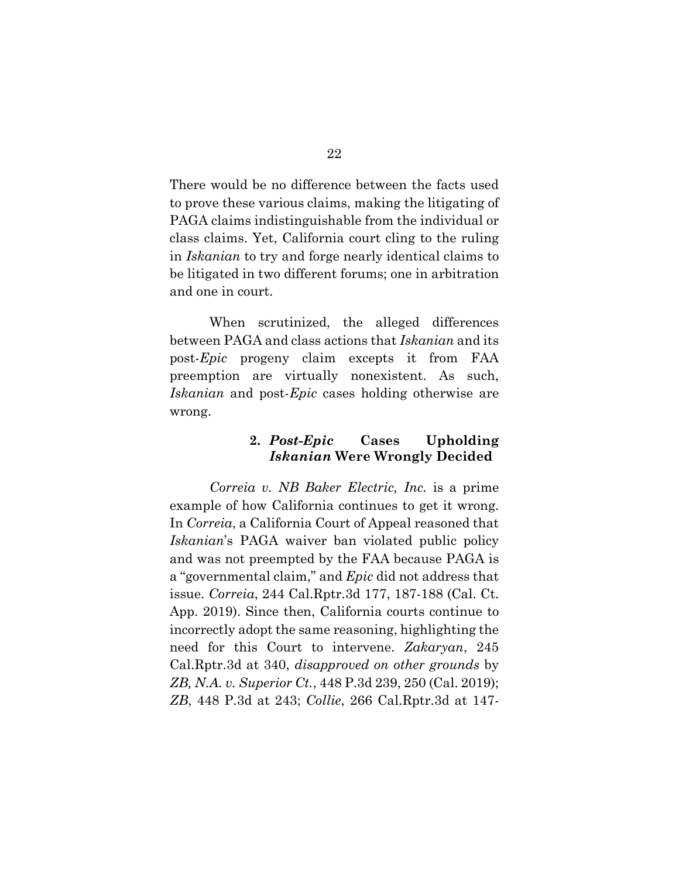There would be no difference between the facts used to prove these various claims, making the litigating of PAGA claims indistinguishable from the individual or class claims. Yet, California court cling to the ruling in *Iskanian* to try and forge nearly identical claims to be litigated in two different forums; one in arbitration and one in court.

When scrutinized, the alleged differences between PAGA and class actions that *Iskanian* and its post-*Epic* progeny claim excepts it from FAA preemption are virtually nonexistent. As such, *Iskanian* and post-*Epic* cases holding otherwise are wrong.

## <span id="page-31-3"></span>**2.** *Post-Epic* **Cases Upholding**  *Iskanian* **Were Wrongly Decided**

<span id="page-31-4"></span><span id="page-31-2"></span><span id="page-31-1"></span><span id="page-31-0"></span>*Correia v. NB Baker Electric, Inc.* is a prime example of how California continues to get it wrong. In *Correia*, a California Court of Appeal reasoned that *Iskanian*'s PAGA waiver ban violated public policy and was not preempted by the FAA because PAGA is a "governmental claim," and *Epic* did not address that issue. *Correia*, 244 Cal.Rptr.3d 177, 187-188 (Cal. Ct. App. 2019). Since then, California courts continue to incorrectly adopt the same reasoning, highlighting the need for this Court to intervene. *Zakaryan*, 245 Cal.Rptr.3d at 340, *disapproved on other grounds* by *ZB, N.A. v. Superior Ct.*, 448 P.3d 239, 250 (Cal. 2019); *ZB*, 448 P.3d at 243; *Collie*, 266 Cal.Rptr.3d at 147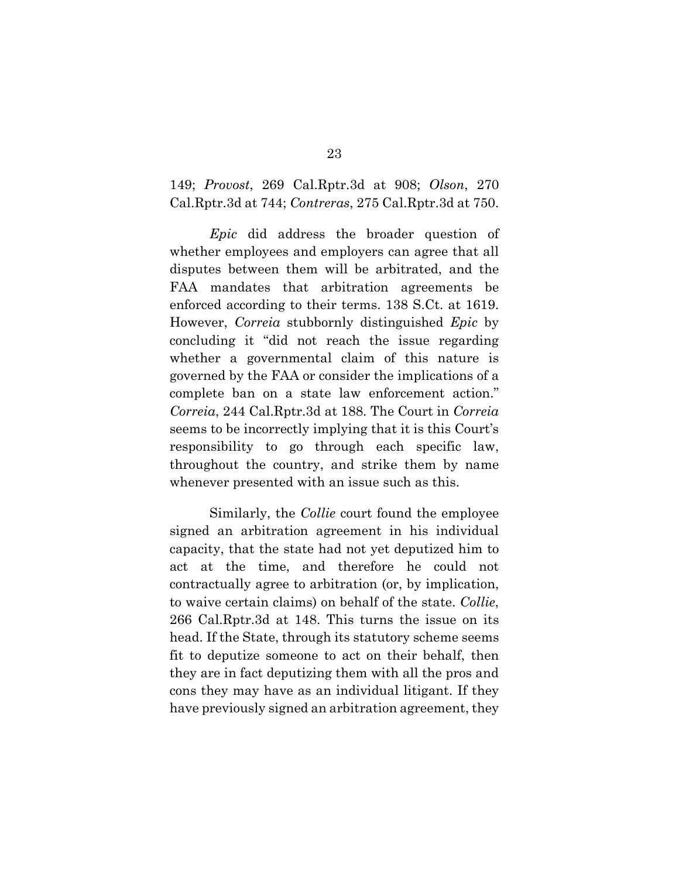<span id="page-32-3"></span><span id="page-32-2"></span><span id="page-32-0"></span>149; *Provost*, 269 Cal.Rptr.3d at 908; *Olson*, 270 Cal.Rptr.3d at 744; *Contreras*, 275 Cal.Rptr.3d at 750.

<span id="page-32-1"></span>*Epic* did address the broader question of whether employees and employers can agree that all disputes between them will be arbitrated, and the FAA mandates that arbitration agreements be enforced according to their terms. 138 S.Ct. at 1619. However, *Correia* stubbornly distinguished *Epic* by concluding it "did not reach the issue regarding whether a governmental claim of this nature is governed by the FAA or consider the implications of a complete ban on a state law enforcement action." *Correia*, 244 Cal.Rptr.3d at 188. The Court in *Correia* seems to be incorrectly implying that it is this Court's responsibility to go through each specific law, throughout the country, and strike them by name whenever presented with an issue such as this.

Similarly, the *Collie* court found the employee signed an arbitration agreement in his individual capacity, that the state had not yet deputized him to act at the time, and therefore he could not contractually agree to arbitration (or, by implication, to waive certain claims) on behalf of the state. *Collie*, 266 Cal.Rptr.3d at 148. This turns the issue on its head. If the State, through its statutory scheme seems fit to deputize someone to act on their behalf, then they are in fact deputizing them with all the pros and cons they may have as an individual litigant. If they have previously signed an arbitration agreement, they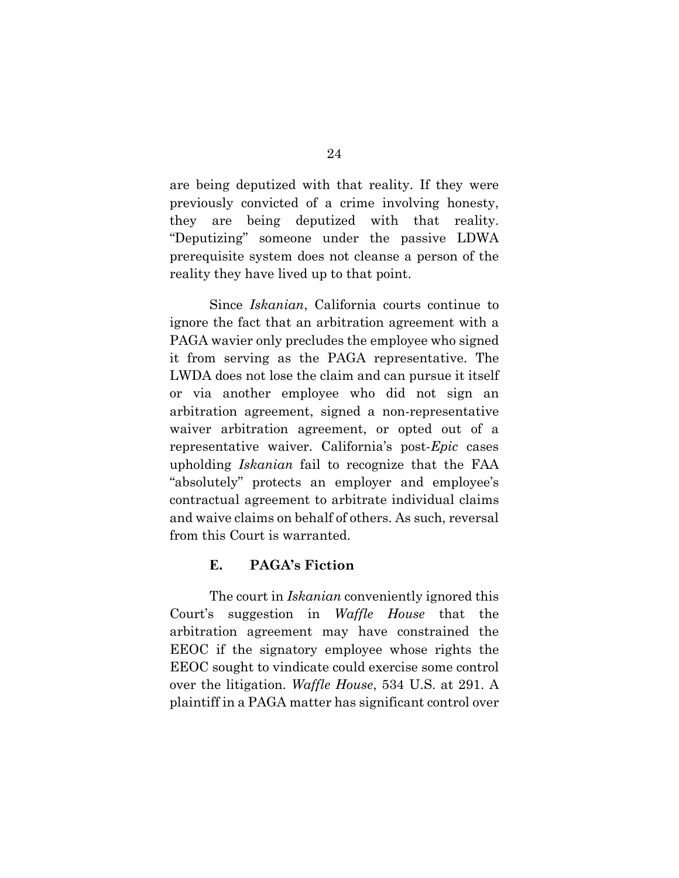are being deputized with that reality. If they were previously convicted of a crime involving honesty, they are being deputized with that reality. "Deputizing" someone under the passive LDWA prerequisite system does not cleanse a person of the reality they have lived up to that point.

Since *Iskanian*, California courts continue to ignore the fact that an arbitration agreement with a PAGA wavier only precludes the employee who signed it from serving as the PAGA representative. The LWDA does not lose the claim and can pursue it itself or via another employee who did not sign an arbitration agreement, signed a non-representative waiver arbitration agreement, or opted out of a representative waiver. California's post-*Epic* cases upholding *Iskanian* fail to recognize that the FAA "absolutely" protects an employer and employee's contractual agreement to arbitrate individual claims and waive claims on behalf of others. As such, reversal from this Court is warranted.

## <span id="page-33-1"></span>**E. PAGA's Fiction**

<span id="page-33-0"></span>The court in *Iskanian* conveniently ignored this Court's suggestion in *Waffle House* that the arbitration agreement may have constrained the EEOC if the signatory employee whose rights the EEOC sought to vindicate could exercise some control over the litigation. *Waffle House*, 534 U.S. at 291. A plaintiff in a PAGA matter has significant control over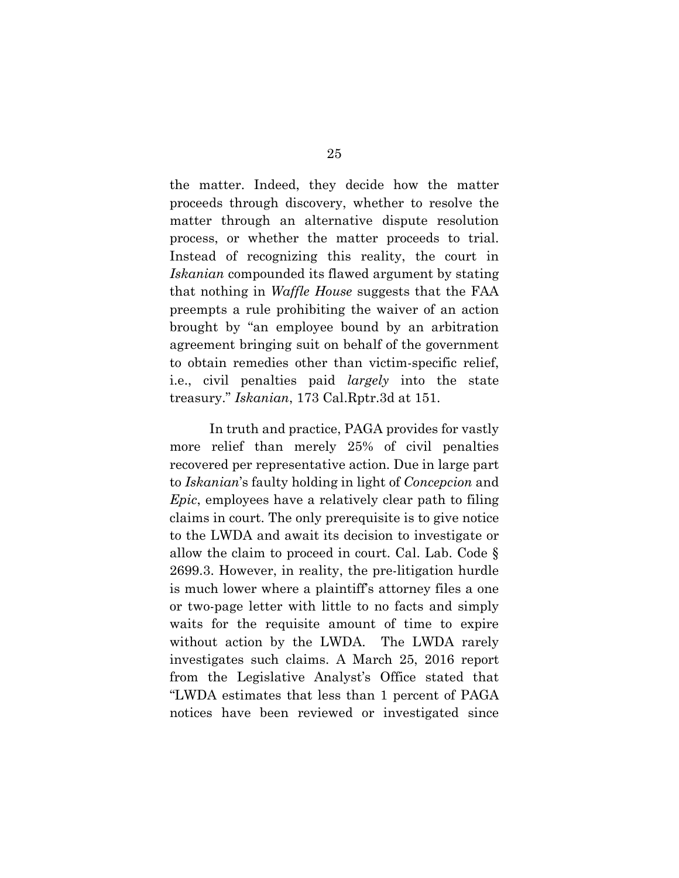the matter. Indeed, they decide how the matter proceeds through discovery, whether to resolve the matter through an alternative dispute resolution process, or whether the matter proceeds to trial. Instead of recognizing this reality, the court in *Iskanian* compounded its flawed argument by stating that nothing in *Waffle House* suggests that the FAA preempts a rule prohibiting the waiver of an action brought by "an employee bound by an arbitration agreement bringing suit on behalf of the government to obtain remedies other than victim-specific relief, i.e., civil penalties paid *largely* into the state treasury." *Iskanian*, 173 Cal.Rptr.3d at 151.

In truth and practice, PAGA provides for vastly more relief than merely 25% of civil penalties recovered per representative action. Due in large part to *Iskanian*'s faulty holding in light of *Concepcion* and *Epic*, employees have a relatively clear path to filing claims in court. The only prerequisite is to give notice to the LWDA and await its decision to investigate or allow the claim to proceed in court. Cal. Lab. Code § 2699.3. However, in reality, the pre-litigation hurdle is much lower where a plaintiff's attorney files a one or two-page letter with little to no facts and simply waits for the requisite amount of time to expire without action by the LWDA. The LWDA rarely investigates such claims. A March 25, 2016 report from the Legislative Analyst's Office stated that "LWDA estimates that less than 1 percent of PAGA notices have been reviewed or investigated since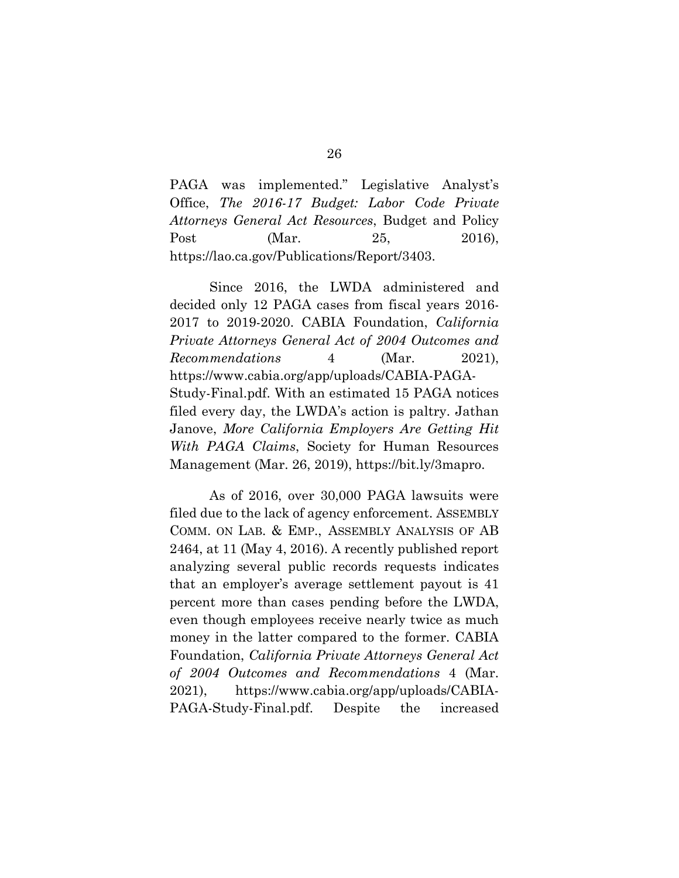<span id="page-35-2"></span>PAGA was implemented." Legislative Analyst's Office, *The 2016-17 Budget: Labor Code Private Attorneys General Act Resources*, Budget and Policy Post (Mar. 25, 2016), https://lao.ca.gov/Publications/Report/3403.

<span id="page-35-3"></span>Since 2016, the LWDA administered and decided only 12 PAGA cases from fiscal years 2016- 2017 to 2019-2020. CABIA Foundation, *California Private Attorneys General Act of 2004 Outcomes and Recommendations* 4 (Mar. 2021), https://www.cabia.org/app/uploads/CABIA-PAGA-Study-Final.pdf. With an estimated 15 PAGA notices filed every day, the LWDA's action is paltry. Jathan Janove, *More California Employers Are Getting Hit With PAGA Claims*, Society for Human Resources Management (Mar. 26, 2019), https://bit.ly/3mapro.

<span id="page-35-4"></span><span id="page-35-1"></span><span id="page-35-0"></span>As of 2016, over 30,000 PAGA lawsuits were filed due to the lack of agency enforcement. ASSEMBLY COMM. ON LAB. & EMP., ASSEMBLY ANALYSIS OF AB 2464, at 11 (May 4, 2016). A recently published report analyzing several public records requests indicates that an employer's average settlement payout is 41 percent more than cases pending before the LWDA, even though employees receive nearly twice as much money in the latter compared to the former. CABIA Foundation, *California Private Attorneys General Act of 2004 Outcomes and Recommendations* 4 (Mar. 2021), https://www.cabia.org/app/uploads/CABIA-PAGA-Study-Final.pdf. Despite the increased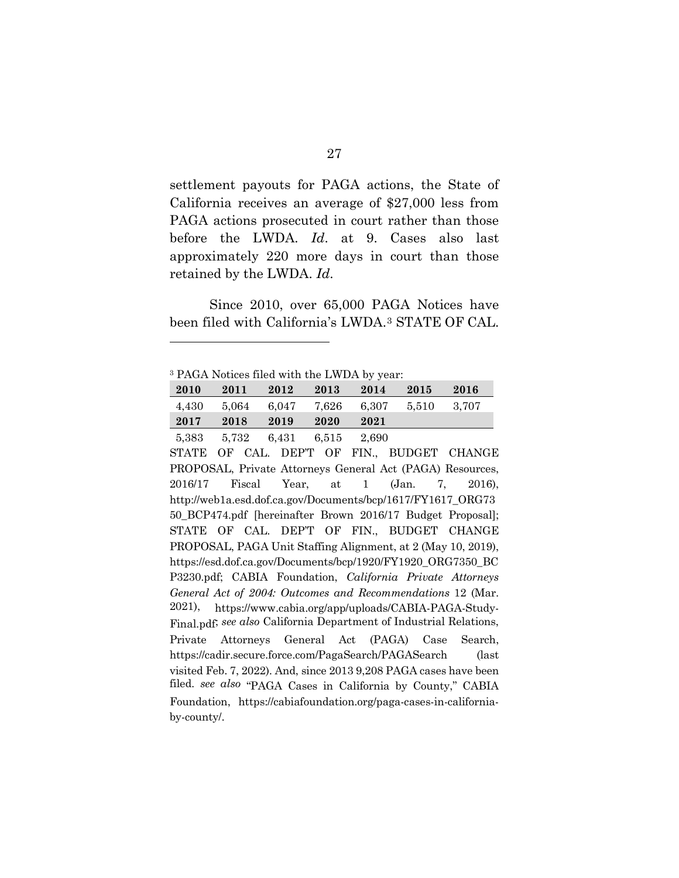settlement payouts for PAGA actions, the State of California receives an average of \$27,000 less from PAGA actions prosecuted in court rather than those before the LWDA. *Id*. at 9. Cases also last approximately 220 more days in court than those retained by the LWDA. *Id*.

Since 2010, over 65,000 PAGA Notices have been filed with California's LWDA.[3](#page-36-4) STATE OF CAL.

<span id="page-36-4"></span><sup>3</sup> PAGA Notices filed with the LWDA by year:

| 2010  | 2011  | 2012              | 2013  | 2014  | 2015  | 2016    |  |
|-------|-------|-------------------|-------|-------|-------|---------|--|
| 4.430 | 5,064 | 6.047             | 7,626 | 6.307 | 5,510 | - 3.707 |  |
| 2017  | 2018  | 2019              | 2020  | 2021  |       |         |  |
| 5,383 |       | 5,732 6,431 6,515 |       | 2,690 |       |         |  |

<span id="page-36-3"></span><span id="page-36-2"></span><span id="page-36-1"></span><span id="page-36-0"></span>STATE OF CAL. DEP'T OF FIN., BUDGET CHANGE PROPOSAL, Private Attorneys General Act (PAGA) Resources, 2016/17 Fiscal Year, at 1 (Jan. 7, 2016), http://web1a.esd.dof.ca.gov/Documents/bcp/1617/FY1617\_ORG73 50\_BCP474.pdf [hereinafter Brown 2016/17 Budget Proposal]; STATE OF CAL. DEP'T OF FIN., BUDGET CHANGE PROPOSAL, PAGA Unit Staffing Alignment, at 2 (May 10, 2019), https://esd.dof.ca.gov/Documents/bcp/1920/FY1920\_ORG7350\_BC P3230.pdf; CABIA Foundation, *California Private Attorneys General Act of 2004: Outcomes and Recommendations* 12 (Mar. 2021), https://www.cabia.org/app/uploads/CABIA-PAGA-Study-Final.pdf; *see also* California Department of Industrial Relations, Private Attorneys General Act (PAGA) Case Search, https://cadir.secure.force.com/PagaSearch/PAGASearch (last visited Feb. 7, 2022). And, since 2013 9,208 PAGA cases have been filed. *see also* "PAGA Cases in California by County," CABIA Foundation, https://cabiafoundation.org/paga-cases-in-californiaby-county/.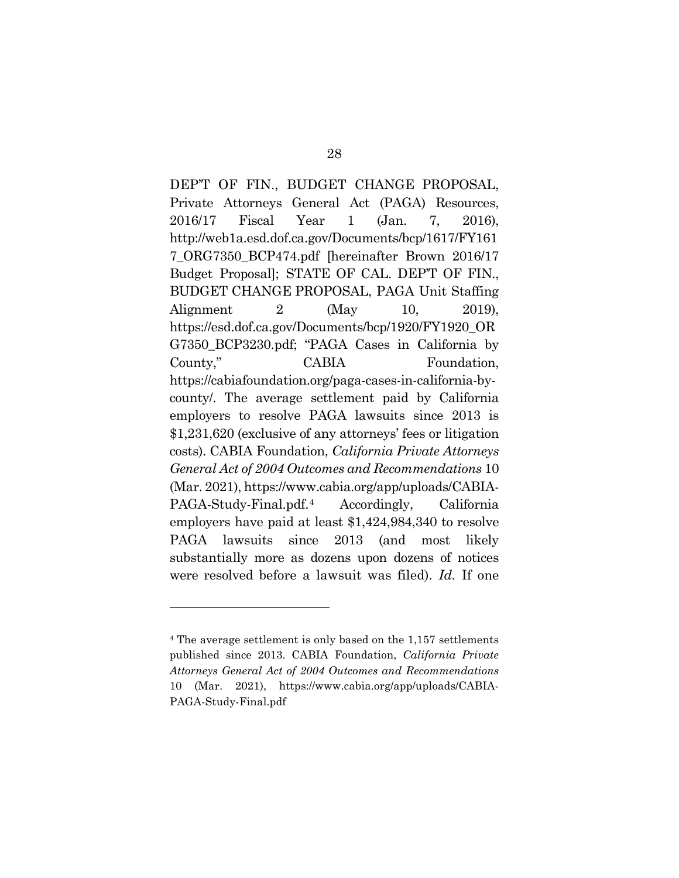<span id="page-37-1"></span>DEP'T OF FIN., BUDGET CHANGE PROPOSAL, Private Attorneys General Act (PAGA) Resources, 2016/17 Fiscal Year 1 (Jan. 7, 2016), http://web1a.esd.dof.ca.gov/Documents/bcp/1617/FY161 7\_ORG7350\_BCP474.pdf [hereinafter Brown 2016/17 Budget Proposal]; STATE OF CAL. DEP'T OF FIN., BUDGET CHANGE PROPOSAL, PAGA Unit Staffing Alignment 2 (May 10, 2019), https://esd.dof.ca.gov/Documents/bcp/1920/FY1920\_OR G7350\_BCP3230.pdf; "PAGA Cases in California by County," CABIA Foundation, https://cabiafoundation.org/paga-cases-in-california-bycounty/. The average settlement paid by California employers to resolve PAGA lawsuits since 2013 is \$1,231,620 (exclusive of any attorneys' fees or litigation costs). CABIA Foundation, *California Private Attorneys General Act of 2004 Outcomes and Recommendations* 10 (Mar. 2021), https://www.cabia.org/app/uploads/CABIA-PAGA-Study-Final.pdf.[4](#page-37-2) Accordingly, California employers have paid at least \$1,424,984,340 to resolve PAGA lawsuits since 2013 (and most likely substantially more as dozens upon dozens of notices were resolved before a lawsuit was filed). *Id.* If one

<span id="page-37-2"></span><span id="page-37-0"></span><sup>4</sup> The average settlement is only based on the 1,157 settlements published since 2013. CABIA Foundation, *California Private Attorneys General Act of 2004 Outcomes and Recommendations* 10 (Mar. 2021), https://www.cabia.org/app/uploads/CABIA-PAGA-Study-Final.pdf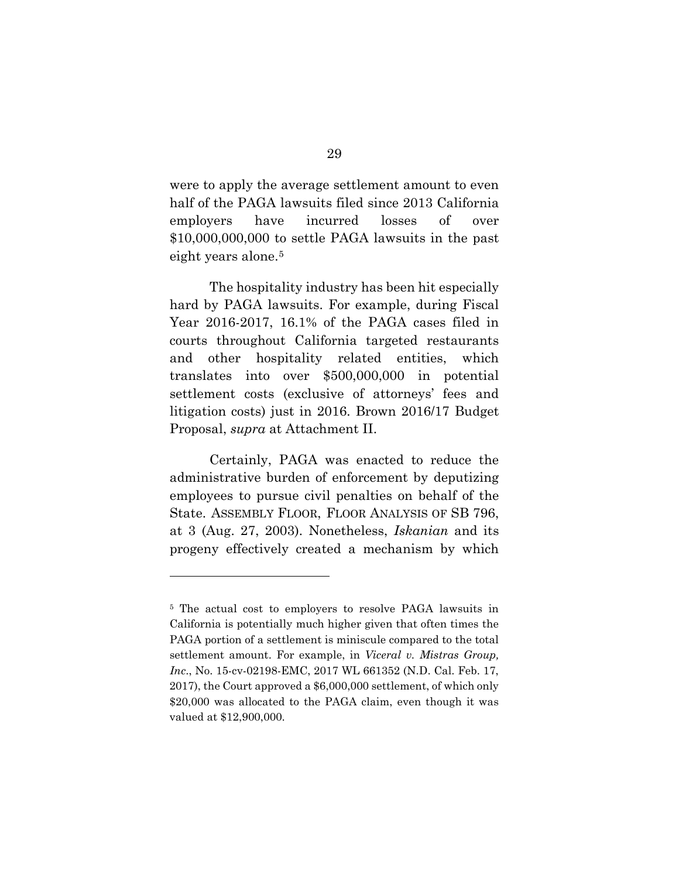were to apply the average settlement amount to even half of the PAGA lawsuits filed since 2013 California employers have incurred losses of over \$10,000,000,000 to settle PAGA lawsuits in the past eight years alone.<sup>[5](#page-38-2)</sup>

The hospitality industry has been hit especially hard by PAGA lawsuits. For example, during Fiscal Year 2016-2017, 16.1% of the PAGA cases filed in courts throughout California targeted restaurants and other hospitality related entities, which translates into over \$500,000,000 in potential settlement costs (exclusive of attorneys' fees and litigation costs) just in 2016. Brown 2016/17 Budget Proposal, *supra* at Attachment II.

<span id="page-38-1"></span>Certainly, PAGA was enacted to reduce the administrative burden of enforcement by deputizing employees to pursue civil penalties on behalf of the State. ASSEMBLY FLOOR, FLOOR ANALYSIS OF SB 796, at 3 (Aug. 27, 2003). Nonetheless, *Iskanian* and its progeny effectively created a mechanism by which

<span id="page-38-2"></span><span id="page-38-0"></span><sup>5</sup> The actual cost to employers to resolve PAGA lawsuits in California is potentially much higher given that often times the PAGA portion of a settlement is miniscule compared to the total settlement amount. For example, in *Viceral v. Mistras Group, Inc*., No. 15-cv-02198-EMC, 2017 WL 661352 (N.D. Cal. Feb. 17, 2017), the Court approved a \$6,000,000 settlement, of which only \$20,000 was allocated to the PAGA claim, even though it was valued at \$12,900,000.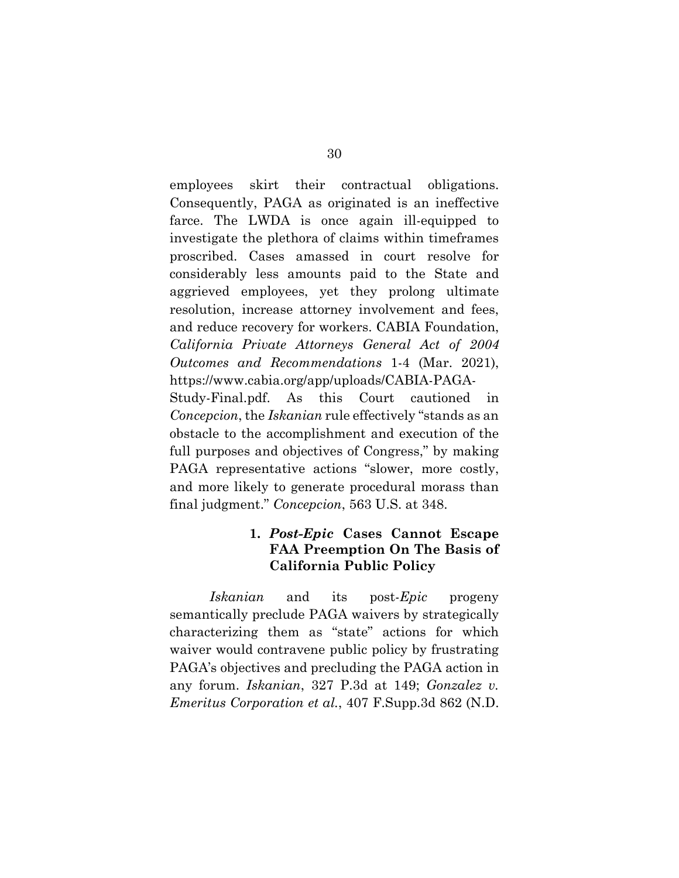employees skirt their contractual obligations. Consequently, PAGA as originated is an ineffective farce. The LWDA is once again ill-equipped to investigate the plethora of claims within timeframes proscribed. Cases amassed in court resolve for considerably less amounts paid to the State and aggrieved employees, yet they prolong ultimate resolution, increase attorney involvement and fees, and reduce recovery for workers. CABIA Foundation, *California Private Attorneys General Act of 2004 Outcomes and Recommendations* 1-4 (Mar. 2021), https://www.cabia.org/app/uploads/CABIA-PAGA-Study-Final.pdf. As this Court cautioned in

*Concepcion*, the *Iskanian* rule effectively "stands as an obstacle to the accomplishment and execution of the full purposes and objectives of Congress," by making PAGA representative actions "slower, more costly, and more likely to generate procedural morass than final judgment." *Concepcion*, 563 U.S. at 348.

## <span id="page-39-2"></span><span id="page-39-1"></span>**1.** *Post-Epic* **Cases Cannot Escape FAA Preemption On The Basis of California Public Policy**

<span id="page-39-0"></span>*Iskanian* and its post-*Epic* progeny semantically preclude PAGA waivers by strategically characterizing them as "state" actions for which waiver would contravene public policy by frustrating PAGA's objectives and precluding the PAGA action in any forum. *Iskanian*, 327 P.3d at 149; *Gonzalez v. Emeritus Corporation et al.*, 407 F.Supp.3d 862 (N.D.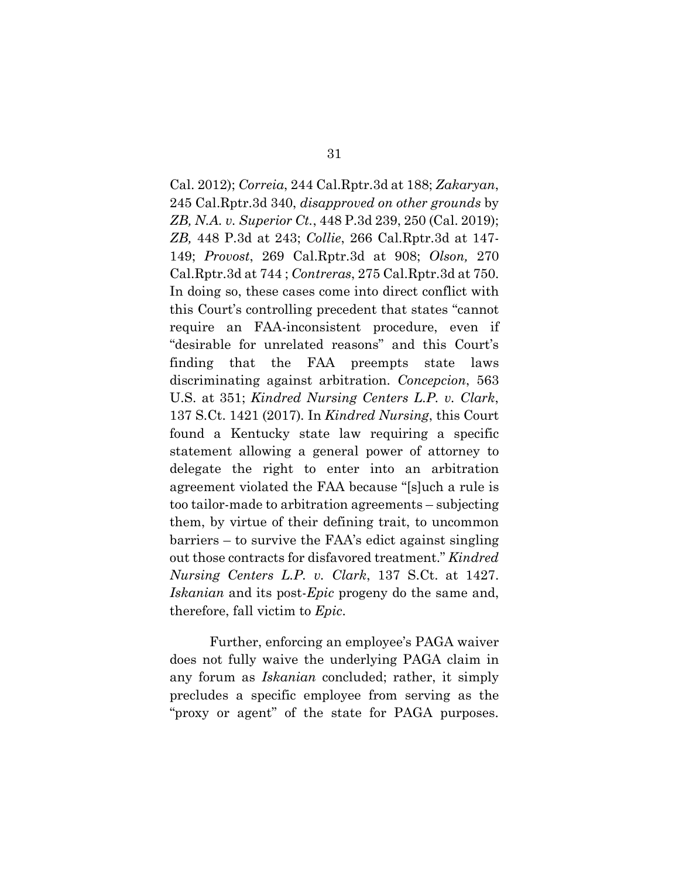<span id="page-40-7"></span><span id="page-40-6"></span><span id="page-40-5"></span><span id="page-40-4"></span><span id="page-40-3"></span><span id="page-40-2"></span><span id="page-40-1"></span><span id="page-40-0"></span>Cal. 2012); *Correia*, 244 Cal.Rptr.3d at 188; *Zakaryan*, 245 Cal.Rptr.3d 340, *disapproved on other grounds* by *ZB, N.A. v. Superior Ct.*, 448 P.3d 239, 250 (Cal. 2019); *ZB,* 448 P.3d at 243; *Collie*, 266 Cal.Rptr.3d at 147- 149; *Provost*, 269 Cal.Rptr.3d at 908; *Olson,* 270 Cal.Rptr.3d at 744 ; *Contreras*, 275 Cal.Rptr.3d at 750. In doing so, these cases come into direct conflict with this Court's controlling precedent that states "cannot require an FAA-inconsistent procedure, even if "desirable for unrelated reasons" and this Court's finding that the FAA preempts state laws discriminating against arbitration. *Concepcion*, 563 U.S. at 351; *Kindred Nursing Centers L.P. v. Clark*, 137 S.Ct. 1421 (2017)*.* In *Kindred Nursing*, this Court found a Kentucky state law requiring a specific statement allowing a general power of attorney to delegate the right to enter into an arbitration agreement violated the FAA because "[s]uch a rule is too tailor-made to arbitration agreements – subjecting them, by virtue of their defining trait, to uncommon barriers – to survive the FAA's edict against singling out those contracts for disfavored treatment." *Kindred Nursing Centers L.P. v. Clark*, 137 S.Ct. at 1427. *Iskanian* and its post-*Epic* progeny do the same and, therefore, fall victim to *Epic*.

Further, enforcing an employee's PAGA waiver does not fully waive the underlying PAGA claim in any forum as *Iskanian* concluded; rather, it simply precludes a specific employee from serving as the "proxy or agent" of the state for PAGA purposes.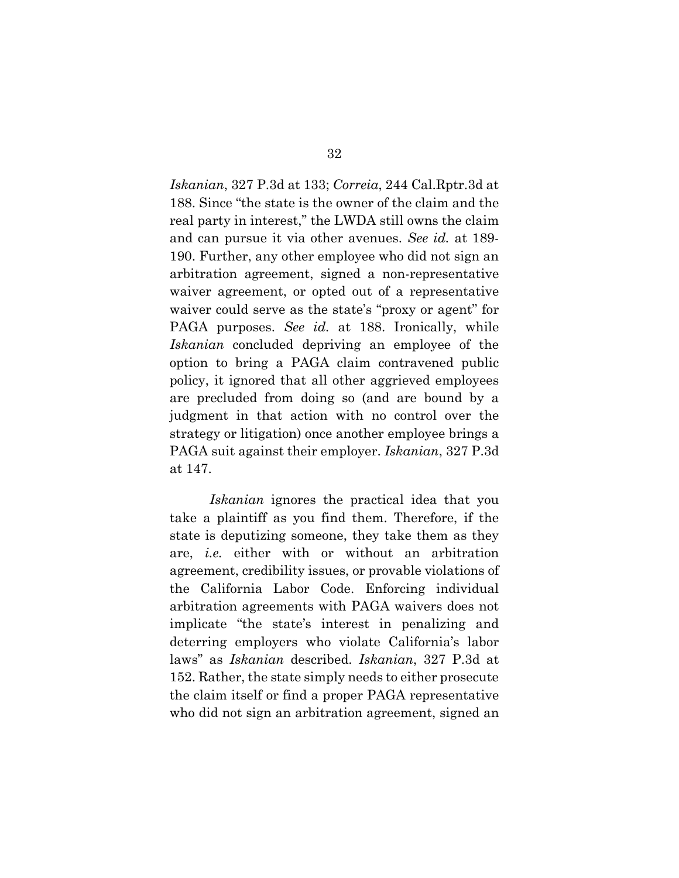<span id="page-41-0"></span>*Iskanian*, 327 P.3d at 133; *Correia*, 244 Cal.Rptr.3d at 188. Since "the state is the owner of the claim and the real party in interest," the LWDA still owns the claim and can pursue it via other avenues. *See id.* at 189- 190. Further, any other employee who did not sign an arbitration agreement, signed a non-representative waiver agreement, or opted out of a representative waiver could serve as the state's "proxy or agent" for PAGA purposes. *See id.* at 188. Ironically, while *Iskanian* concluded depriving an employee of the option to bring a PAGA claim contravened public policy, it ignored that all other aggrieved employees are precluded from doing so (and are bound by a judgment in that action with no control over the strategy or litigation) once another employee brings a PAGA suit against their employer. *Iskanian*, 327 P.3d at 147.

*Iskanian* ignores the practical idea that you take a plaintiff as you find them. Therefore, if the state is deputizing someone, they take them as they are, *i.e.* either with or without an arbitration agreement, credibility issues, or provable violations of the California Labor Code. Enforcing individual arbitration agreements with PAGA waivers does not implicate "the state's interest in penalizing and deterring employers who violate California's labor laws" as *Iskanian* described. *Iskanian*, 327 P.3d at 152. Rather, the state simply needs to either prosecute the claim itself or find a proper PAGA representative who did not sign an arbitration agreement, signed an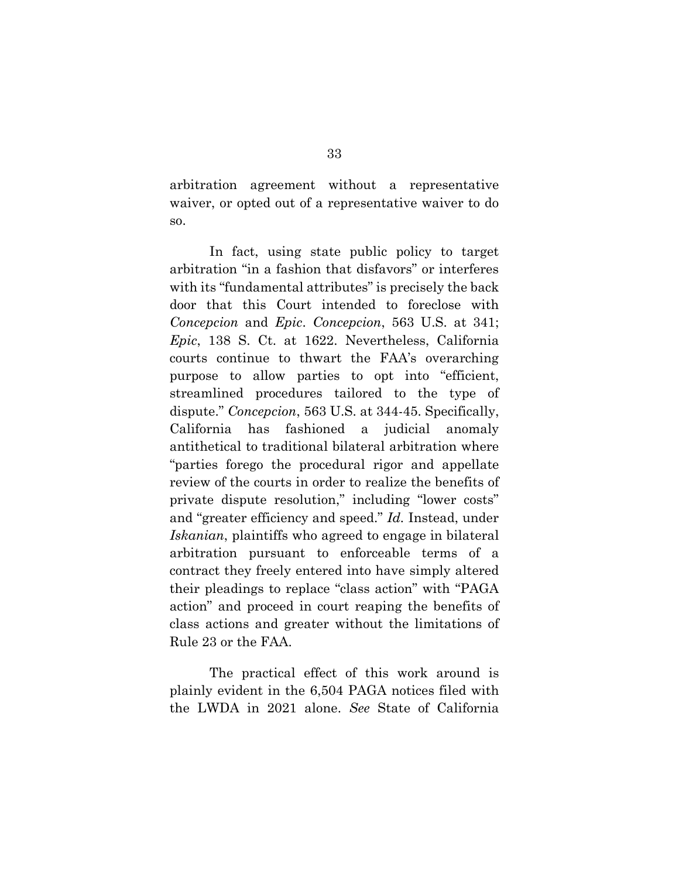arbitration agreement without a representative waiver, or opted out of a representative waiver to do so.

In fact, using state public policy to target arbitration "in a fashion that disfavors" or interferes with its "fundamental attributes" is precisely the back door that this Court intended to foreclose with *Concepcion* and *Epic*. *Concepcion*, 563 U.S. at 341; *Epic*, 138 S. Ct. at 1622. Nevertheless, California courts continue to thwart the FAA's overarching purpose to allow parties to opt into "efficient, streamlined procedures tailored to the type of dispute." *Concepcion*, 563 U.S. at 344-45. Specifically, California has fashioned a judicial anomaly antithetical to traditional bilateral arbitration where "parties forego the procedural rigor and appellate review of the courts in order to realize the benefits of private dispute resolution," including "lower costs" and "greater efficiency and speed." *Id.* Instead, under *Iskanian*, plaintiffs who agreed to engage in bilateral arbitration pursuant to enforceable terms of a contract they freely entered into have simply altered their pleadings to replace "class action" with "PAGA action" and proceed in court reaping the benefits of class actions and greater without the limitations of Rule 23 or the FAA.

<span id="page-42-0"></span>The practical effect of this work around is plainly evident in the 6,504 PAGA notices filed with the LWDA in 2021 alone. *See* State of California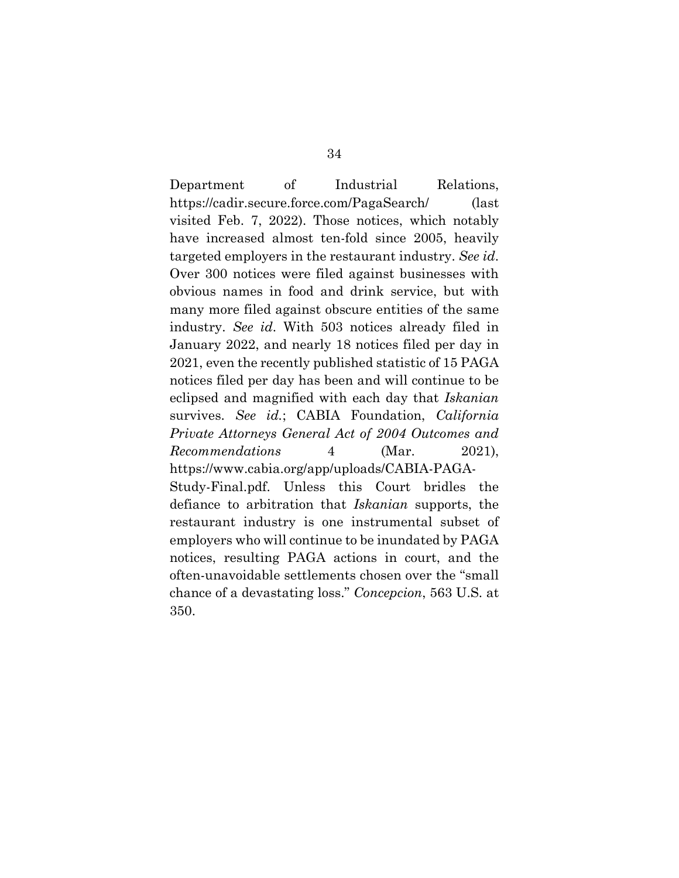Department of Industrial Relations, https://cadir.secure.force.com/PagaSearch/ (last visited Feb. 7, 2022). Those notices, which notably have increased almost ten-fold since 2005, heavily targeted employers in the restaurant industry. *See id*. Over 300 notices were filed against businesses with obvious names in food and drink service, but with many more filed against obscure entities of the same industry. *See id*. With 503 notices already filed in January 2022, and nearly 18 notices filed per day in 2021, even the recently published statistic of 15 PAGA notices filed per day has been and will continue to be eclipsed and magnified with each day that *Iskanian* survives. *See id.*; CABIA Foundation, *California Private Attorneys General Act of 2004 Outcomes and Recommendations* 4 (Mar. 2021), https://www.cabia.org/app/uploads/CABIA-PAGA-Study-Final.pdf. Unless this Court bridles the defiance to arbitration that *Iskanian* supports, the restaurant industry is one instrumental subset of employers who will continue to be inundated by PAGA notices, resulting PAGA actions in court, and the often-unavoidable settlements chosen over the "small chance of a devastating loss." *Concepcion*, 563 U.S. at

350.

34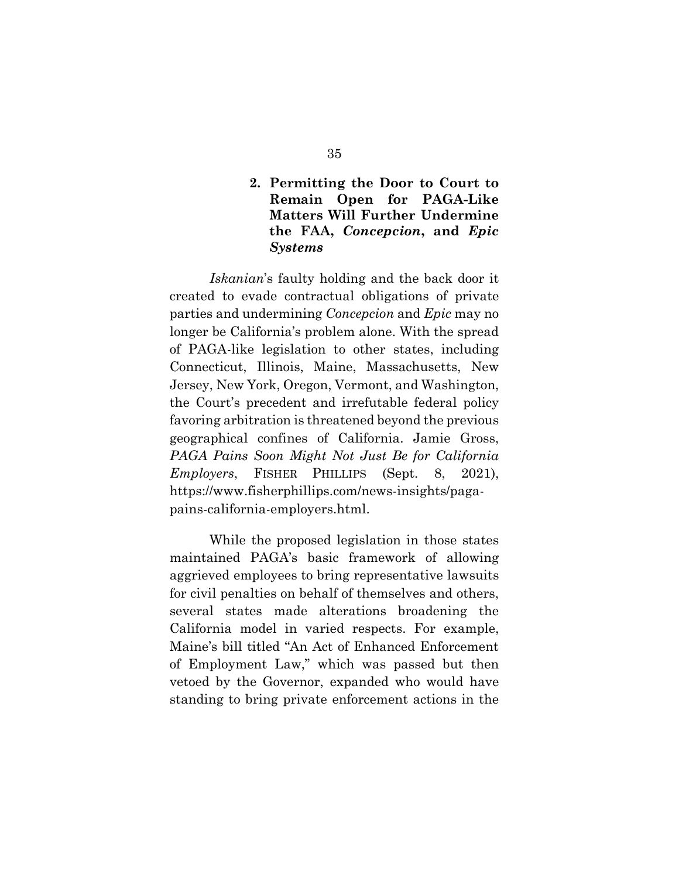## <span id="page-44-0"></span>**2. Permitting the Door to Court to Remain Open for PAGA-Like Matters Will Further Undermine the FAA,** *Concepcion***, and** *Epic Systems*

*Iskanian*'s faulty holding and the back door it created to evade contractual obligations of private parties and undermining *Concepcion* and *Epic* may no longer be California's problem alone. With the spread of PAGA-like legislation to other states, including Connecticut, Illinois, Maine, Massachusetts, New Jersey, New York, Oregon, Vermont, and Washington, the Court's precedent and irrefutable federal policy favoring arbitration is threatened beyond the previous geographical confines of California. Jamie Gross, *PAGA Pains Soon Might Not Just Be for California Employers*, FISHER PHILLIPS (Sept. 8, 2021), https://www.fisherphillips.com/news-insights/pagapains-california-employers.html.

<span id="page-44-1"></span>While the proposed legislation in those states maintained PAGA's basic framework of allowing aggrieved employees to bring representative lawsuits for civil penalties on behalf of themselves and others, several states made alterations broadening the California model in varied respects. For example, Maine's bill titled "An Act of Enhanced Enforcement of Employment Law," which was passed but then vetoed by the Governor, expanded who would have standing to bring private enforcement actions in the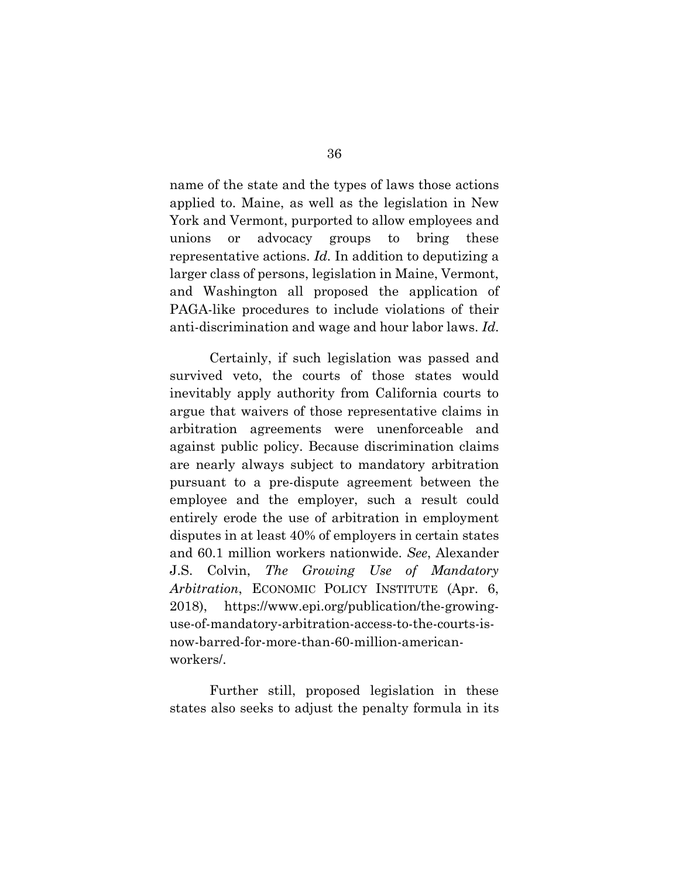<span id="page-45-1"></span>name of the state and the types of laws those actions applied to. Maine, as well as the legislation in New York and Vermont, purported to allow employees and unions or advocacy groups to bring these representative actions. *Id.* In addition to deputizing a larger class of persons, legislation in Maine, Vermont, and Washington all proposed the application of PAGA-like procedures to include violations of their anti-discrimination and wage and hour labor laws. *Id*.

Certainly, if such legislation was passed and survived veto, the courts of those states would inevitably apply authority from California courts to argue that waivers of those representative claims in arbitration agreements were unenforceable and against public policy. Because discrimination claims are nearly always subject to mandatory arbitration pursuant to a pre-dispute agreement between the employee and the employer, such a result could entirely erode the use of arbitration in employment disputes in at least 40% of employers in certain states and 60.1 million workers nationwide. *See*, Alexander J.S. Colvin, *The Growing Use of Mandatory Arbitration*, ECONOMIC POLICY INSTITUTE (Apr. 6, 2018), https://www.epi.org/publication/the-growinguse-of-mandatory-arbitration-access-to-the-courts-isnow-barred-for-more-than-60-million-americanworkers/.

<span id="page-45-0"></span>Further still, proposed legislation in these states also seeks to adjust the penalty formula in its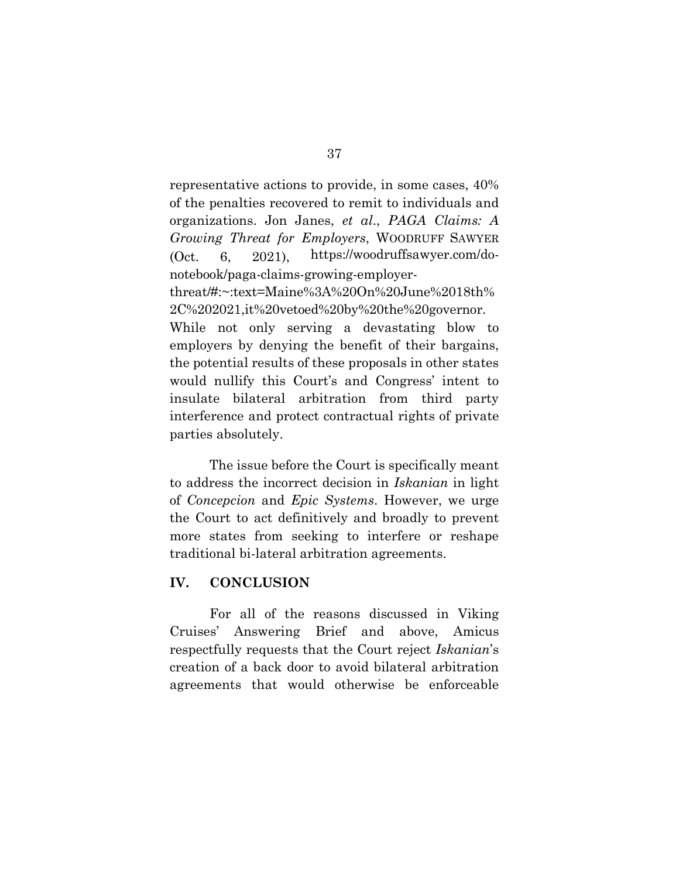<span id="page-46-1"></span>representative actions to provide, in some cases, 40% of the penalties recovered to remit to individuals and organizations. Jon Janes, *et al*., *PAGA Claims: A Growing Threat for Employers*, WOODRUFF SAWYER (Oct. 6, 2021), https://woodruffsawyer.com/donotebook/paga-claims-growing-employerthreat/#:~:text=Maine%3A%20On%20June%2018th% 2C%202021,it%20vetoed%20by%20the%20governor. While not only serving a devastating blow to employers by denying the benefit of their bargains, the potential results of these proposals in other states would nullify this Court's and Congress' intent to insulate bilateral arbitration from third party interference and protect contractual rights of private parties absolutely.

The issue before the Court is specifically meant to address the incorrect decision in *Iskanian* in light of *Concepcion* and *Epic Systems*. However, we urge the Court to act definitively and broadly to prevent more states from seeking to interfere or reshape traditional bi-lateral arbitration agreements.

#### <span id="page-46-0"></span>**IV. CONCLUSION**

For all of the reasons discussed in Viking Cruises' Answering Brief and above, Amicus respectfully requests that the Court reject *Iskanian*'s creation of a back door to avoid bilateral arbitration agreements that would otherwise be enforceable